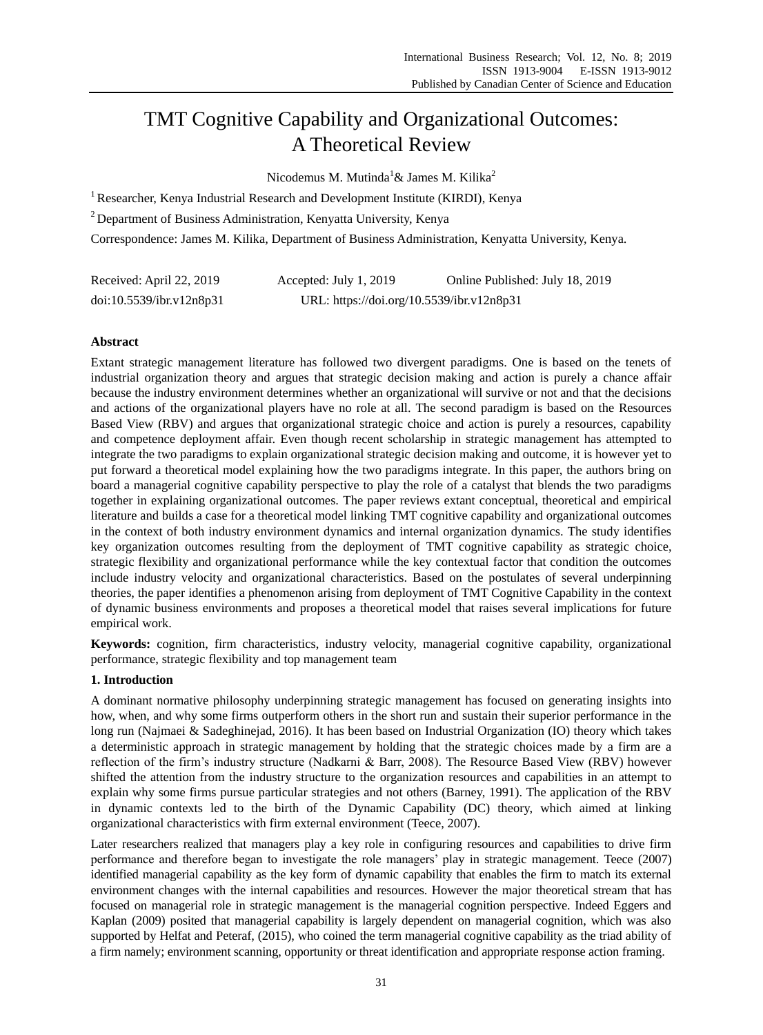# TMT Cognitive Capability and Organizational Outcomes: A Theoretical Review

Nicodemus M. Mutinda<sup>1</sup> & James M. Kilika<sup>2</sup>

<sup>1</sup> Researcher, Kenya Industrial Research and Development Institute (KIRDI), Kenya

<sup>2</sup> Department of Business Administration, Kenyatta University, Kenya

Correspondence: James M. Kilika, Department of Business Administration, Kenyatta University, Kenya.

| Received: April 22, 2019 | Accepted: July 1, 2019                    | Online Published: July 18, 2019 |
|--------------------------|-------------------------------------------|---------------------------------|
| doi:10.5539/ibr.v12n8p31 | URL: https://doi.org/10.5539/ibr.v12n8p31 |                                 |

# **Abstract**

Extant strategic management literature has followed two divergent paradigms. One is based on the tenets of industrial organization theory and argues that strategic decision making and action is purely a chance affair because the industry environment determines whether an organizational will survive or not and that the decisions and actions of the organizational players have no role at all. The second paradigm is based on the Resources Based View (RBV) and argues that organizational strategic choice and action is purely a resources, capability and competence deployment affair. Even though recent scholarship in strategic management has attempted to integrate the two paradigms to explain organizational strategic decision making and outcome, it is however yet to put forward a theoretical model explaining how the two paradigms integrate. In this paper, the authors bring on board a managerial cognitive capability perspective to play the role of a catalyst that blends the two paradigms together in explaining organizational outcomes. The paper reviews extant conceptual, theoretical and empirical literature and builds a case for a theoretical model linking TMT cognitive capability and organizational outcomes in the context of both industry environment dynamics and internal organization dynamics. The study identifies key organization outcomes resulting from the deployment of TMT cognitive capability as strategic choice, strategic flexibility and organizational performance while the key contextual factor that condition the outcomes include industry velocity and organizational characteristics. Based on the postulates of several underpinning theories, the paper identifies a phenomenon arising from deployment of TMT Cognitive Capability in the context of dynamic business environments and proposes a theoretical model that raises several implications for future empirical work.

**Keywords:** cognition, firm characteristics, industry velocity, managerial cognitive capability, organizational performance, strategic flexibility and top management team

# **1. Introduction**

A dominant normative philosophy underpinning strategic management has focused on generating insights into how, when, and why some firms outperform others in the short run and sustain their superior performance in the long run (Najmaei & Sadeghinejad, 2016). It has been based on Industrial Organization (IO) theory which takes a deterministic approach in strategic management by holding that the strategic choices made by a firm are a reflection of the firm's industry structure (Nadkarni & Barr, 2008). The Resource Based View (RBV) however shifted the attention from the industry structure to the organization resources and capabilities in an attempt to explain why some firms pursue particular strategies and not others (Barney, 1991). The application of the RBV in dynamic contexts led to the birth of the Dynamic Capability (DC) theory, which aimed at linking organizational characteristics with firm external environment (Teece, 2007).

Later researchers realized that managers play a key role in configuring resources and capabilities to drive firm performance and therefore began to investigate the role managers' play in strategic management. Teece (2007) identified managerial capability as the key form of dynamic capability that enables the firm to match its external environment changes with the internal capabilities and resources. However the major theoretical stream that has focused on managerial role in strategic management is the managerial cognition perspective. Indeed Eggers and Kaplan (2009) posited that managerial capability is largely dependent on managerial cognition, which was also supported by Helfat and Peteraf, (2015), who coined the term managerial cognitive capability as the triad ability of a firm namely; environment scanning, opportunity or threat identification and appropriate response action framing.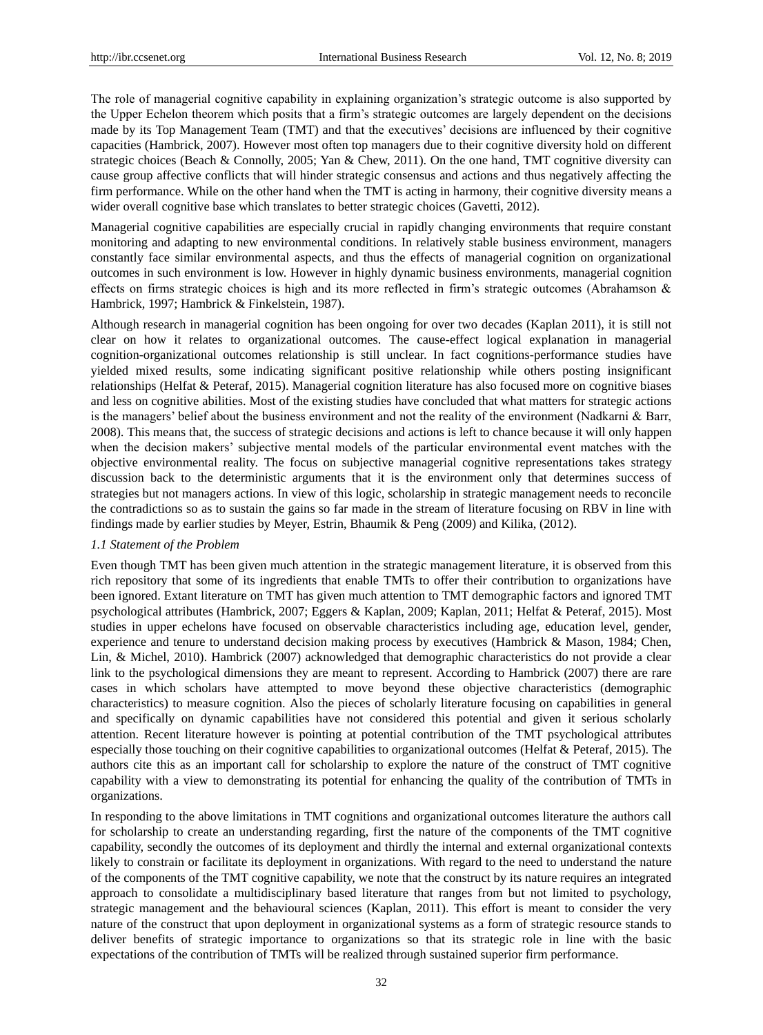The role of managerial cognitive capability in explaining organization's strategic outcome is also supported by the Upper Echelon theorem which posits that a firm's strategic outcomes are largely dependent on the decisions made by its Top Management Team (TMT) and that the executives' decisions are influenced by their cognitive capacities (Hambrick, 2007). However most often top managers due to their cognitive diversity hold on different strategic choices (Beach & Connolly, 2005; Yan & Chew, 2011). On the one hand, TMT cognitive diversity can cause group affective conflicts that will hinder strategic consensus and actions and thus negatively affecting the firm performance. While on the other hand when the TMT is acting in harmony, their cognitive diversity means a wider overall cognitive base which translates to better strategic choices (Gavetti, 2012).

Managerial cognitive capabilities are especially crucial in rapidly changing environments that require constant monitoring and adapting to new environmental conditions. In relatively stable business environment, managers constantly face similar environmental aspects, and thus the effects of managerial cognition on organizational outcomes in such environment is low. However in highly dynamic business environments, managerial cognition effects on firms strategic choices is high and its more reflected in firm's strategic outcomes (Abrahamson & Hambrick, 1997; Hambrick & Finkelstein, 1987).

Although research in managerial cognition has been ongoing for over two decades (Kaplan 2011), it is still not clear on how it relates to organizational outcomes. The cause-effect logical explanation in managerial cognition-organizational outcomes relationship is still unclear. In fact cognitions-performance studies have yielded mixed results, some indicating significant positive relationship while others posting insignificant relationships (Helfat & Peteraf, 2015). Managerial cognition literature has also focused more on cognitive biases and less on cognitive abilities. Most of the existing studies have concluded that what matters for strategic actions is the managers' belief about the business environment and not the reality of the environment (Nadkarni & Barr, 2008). This means that, the success of strategic decisions and actions is left to chance because it will only happen when the decision makers' subjective mental models of the particular environmental event matches with the objective environmental reality. The focus on subjective managerial cognitive representations takes strategy discussion back to the deterministic arguments that it is the environment only that determines success of strategies but not managers actions. In view of this logic, scholarship in strategic management needs to reconcile the contradictions so as to sustain the gains so far made in the stream of literature focusing on RBV in line with findings made by earlier studies by Meyer, Estrin, Bhaumik & Peng (2009) and Kilika, (2012).

#### *1.1 Statement of the Problem*

Even though TMT has been given much attention in the strategic management literature, it is observed from this rich repository that some of its ingredients that enable TMTs to offer their contribution to organizations have been ignored. Extant literature on TMT has given much attention to TMT demographic factors and ignored TMT psychological attributes (Hambrick, 2007; Eggers & Kaplan, 2009; Kaplan, 2011; Helfat & Peteraf, 2015). Most studies in upper echelons have focused on observable characteristics including age, education level, gender, experience and tenure to understand decision making process by executives (Hambrick & Mason, 1984; Chen, Lin, & Michel, 2010). Hambrick (2007) acknowledged that demographic characteristics do not provide a clear link to the psychological dimensions they are meant to represent. According to Hambrick (2007) there are rare cases in which scholars have attempted to move beyond these objective characteristics (demographic characteristics) to measure cognition. Also the pieces of scholarly literature focusing on capabilities in general and specifically on dynamic capabilities have not considered this potential and given it serious scholarly attention. Recent literature however is pointing at potential contribution of the TMT psychological attributes especially those touching on their cognitive capabilities to organizational outcomes (Helfat & Peteraf, 2015). The authors cite this as an important call for scholarship to explore the nature of the construct of TMT cognitive capability with a view to demonstrating its potential for enhancing the quality of the contribution of TMTs in organizations.

In responding to the above limitations in TMT cognitions and organizational outcomes literature the authors call for scholarship to create an understanding regarding, first the nature of the components of the TMT cognitive capability, secondly the outcomes of its deployment and thirdly the internal and external organizational contexts likely to constrain or facilitate its deployment in organizations. With regard to the need to understand the nature of the components of the TMT cognitive capability, we note that the construct by its nature requires an integrated approach to consolidate a multidisciplinary based literature that ranges from but not limited to psychology, strategic management and the behavioural sciences (Kaplan, 2011). This effort is meant to consider the very nature of the construct that upon deployment in organizational systems as a form of strategic resource stands to deliver benefits of strategic importance to organizations so that its strategic role in line with the basic expectations of the contribution of TMTs will be realized through sustained superior firm performance.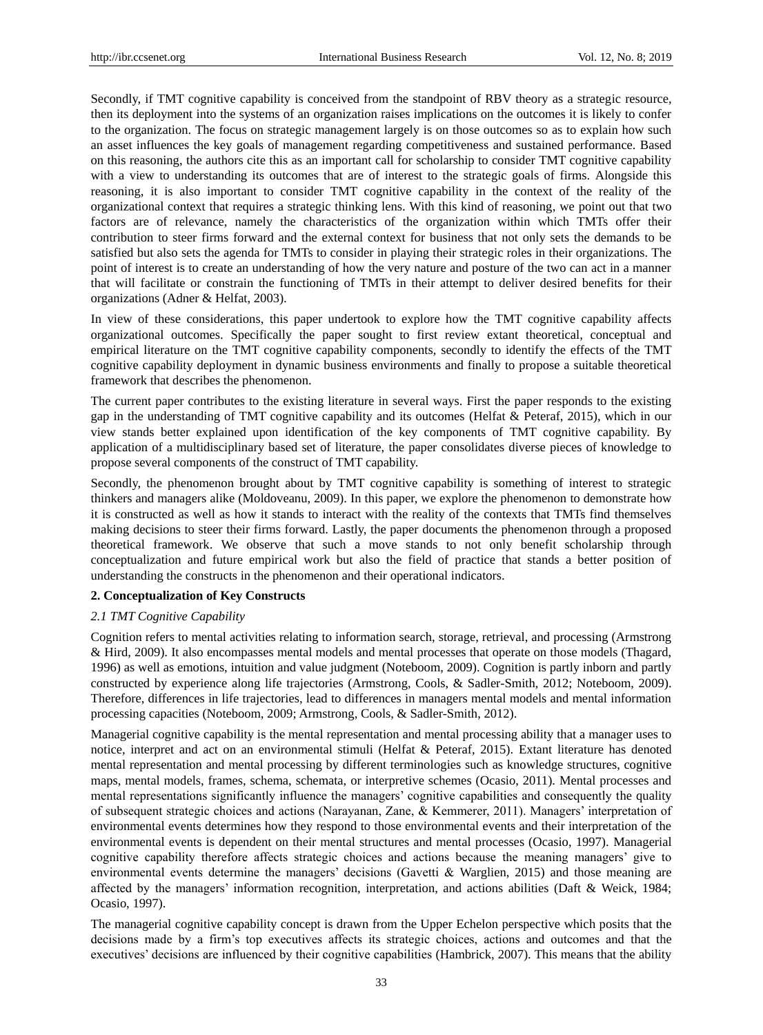Secondly, if TMT cognitive capability is conceived from the standpoint of RBV theory as a strategic resource, then its deployment into the systems of an organization raises implications on the outcomes it is likely to confer to the organization. The focus on strategic management largely is on those outcomes so as to explain how such an asset influences the key goals of management regarding competitiveness and sustained performance. Based on this reasoning, the authors cite this as an important call for scholarship to consider TMT cognitive capability with a view to understanding its outcomes that are of interest to the strategic goals of firms. Alongside this reasoning, it is also important to consider TMT cognitive capability in the context of the reality of the organizational context that requires a strategic thinking lens. With this kind of reasoning, we point out that two factors are of relevance, namely the characteristics of the organization within which TMTs offer their contribution to steer firms forward and the external context for business that not only sets the demands to be satisfied but also sets the agenda for TMTs to consider in playing their strategic roles in their organizations. The point of interest is to create an understanding of how the very nature and posture of the two can act in a manner that will facilitate or constrain the functioning of TMTs in their attempt to deliver desired benefits for their organizations (Adner & Helfat, 2003).

In view of these considerations, this paper undertook to explore how the TMT cognitive capability affects organizational outcomes. Specifically the paper sought to first review extant theoretical, conceptual and empirical literature on the TMT cognitive capability components, secondly to identify the effects of the TMT cognitive capability deployment in dynamic business environments and finally to propose a suitable theoretical framework that describes the phenomenon.

The current paper contributes to the existing literature in several ways. First the paper responds to the existing gap in the understanding of TMT cognitive capability and its outcomes (Helfat & Peteraf, 2015), which in our view stands better explained upon identification of the key components of TMT cognitive capability. By application of a multidisciplinary based set of literature, the paper consolidates diverse pieces of knowledge to propose several components of the construct of TMT capability.

Secondly, the phenomenon brought about by TMT cognitive capability is something of interest to strategic thinkers and managers alike (Moldoveanu, 2009). In this paper, we explore the phenomenon to demonstrate how it is constructed as well as how it stands to interact with the reality of the contexts that TMTs find themselves making decisions to steer their firms forward. Lastly, the paper documents the phenomenon through a proposed theoretical framework. We observe that such a move stands to not only benefit scholarship through conceptualization and future empirical work but also the field of practice that stands a better position of understanding the constructs in the phenomenon and their operational indicators.

## **2. Conceptualization of Key Constructs**

#### *2.1 TMT Cognitive Capability*

Cognition refers to mental activities relating to information search, storage, retrieval, and processing (Armstrong & Hird, 2009). It also encompasses mental models and mental processes that operate on those models (Thagard, 1996) as well as emotions, intuition and value judgment (Noteboom, 2009). Cognition is partly inborn and partly constructed by experience along life trajectories (Armstrong, Cools, & Sadler-Smith, 2012; Noteboom, 2009). Therefore, differences in life trajectories, lead to differences in managers mental models and mental information processing capacities (Noteboom, 2009; Armstrong, Cools, & Sadler-Smith, 2012).

Managerial cognitive capability is the mental representation and mental processing ability that a manager uses to notice, interpret and act on an environmental stimuli (Helfat & Peteraf, 2015). Extant literature has denoted mental representation and mental processing by different terminologies such as knowledge structures, cognitive maps, mental models, frames, schema, schemata, or interpretive schemes (Ocasio, 2011). Mental processes and mental representations significantly influence the managers' cognitive capabilities and consequently the quality of subsequent strategic choices and actions (Narayanan, Zane, & Kemmerer, 2011). Managers' interpretation of environmental events determines how they respond to those environmental events and their interpretation of the environmental events is dependent on their mental structures and mental processes (Ocasio, 1997). Managerial cognitive capability therefore affects strategic choices and actions because the meaning managers' give to environmental events determine the managers' decisions (Gavetti & Warglien, 2015) and those meaning are affected by the managers' information recognition, interpretation, and actions abilities (Daft & Weick, 1984; Ocasio, 1997).

The managerial cognitive capability concept is drawn from the Upper Echelon perspective which posits that the decisions made by a firm's top executives affects its strategic choices, actions and outcomes and that the executives' decisions are influenced by their cognitive capabilities (Hambrick, 2007). This means that the ability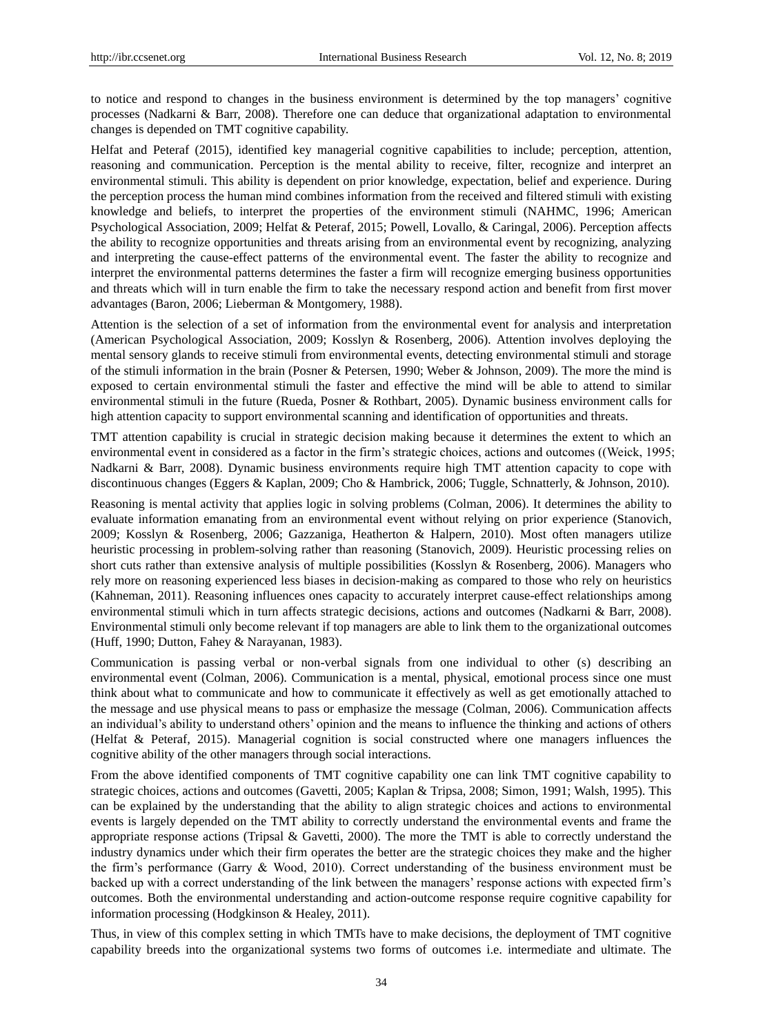to notice and respond to changes in the business environment is determined by the top managers' cognitive processes (Nadkarni & Barr, 2008). Therefore one can deduce that organizational adaptation to environmental changes is depended on TMT cognitive capability.

Helfat and Peteraf (2015), identified key managerial cognitive capabilities to include; perception, attention, reasoning and communication. Perception is the mental ability to receive, filter, recognize and interpret an environmental stimuli. This ability is dependent on prior knowledge, expectation, belief and experience. During the perception process the human mind combines information from the received and filtered stimuli with existing knowledge and beliefs, to interpret the properties of the environment stimuli (NAHMC, 1996; American Psychological Association, 2009; Helfat & Peteraf, 2015; Powell, Lovallo, & Caringal, 2006). Perception affects the ability to recognize opportunities and threats arising from an environmental event by recognizing, analyzing and interpreting the cause-effect patterns of the environmental event. The faster the ability to recognize and interpret the environmental patterns determines the faster a firm will recognize emerging business opportunities and threats which will in turn enable the firm to take the necessary respond action and benefit from first mover advantages (Baron, 2006; Lieberman & Montgomery, 1988).

Attention is the selection of a set of information from the environmental event for analysis and interpretation (American Psychological Association, 2009; Kosslyn & Rosenberg, 2006). Attention involves deploying the mental sensory glands to receive stimuli from environmental events, detecting environmental stimuli and storage of the stimuli information in the brain (Posner & Petersen, 1990; Weber & Johnson, 2009). The more the mind is exposed to certain environmental stimuli the faster and effective the mind will be able to attend to similar environmental stimuli in the future (Rueda, Posner & Rothbart, 2005). Dynamic business environment calls for high attention capacity to support environmental scanning and identification of opportunities and threats.

TMT attention capability is crucial in strategic decision making because it determines the extent to which an environmental event in considered as a factor in the firm's strategic choices, actions and outcomes ((Weick, 1995; Nadkarni & Barr, 2008). Dynamic business environments require high TMT attention capacity to cope with discontinuous changes (Eggers & Kaplan, 2009; Cho & Hambrick, 2006; Tuggle, Schnatterly, & Johnson, 2010).

Reasoning is mental activity that applies logic in solving problems (Colman, 2006). It determines the ability to evaluate information emanating from an environmental event without relying on prior experience (Stanovich, 2009; Kosslyn & Rosenberg, 2006; Gazzaniga, Heatherton & Halpern, 2010). Most often managers utilize heuristic processing in problem-solving rather than reasoning (Stanovich, 2009). Heuristic processing relies on short cuts rather than extensive analysis of multiple possibilities (Kosslyn & Rosenberg, 2006). Managers who rely more on reasoning experienced less biases in decision-making as compared to those who rely on heuristics (Kahneman, 2011). Reasoning influences ones capacity to accurately interpret cause-effect relationships among environmental stimuli which in turn affects strategic decisions, actions and outcomes (Nadkarni & Barr, 2008). Environmental stimuli only become relevant if top managers are able to link them to the organizational outcomes (Huff, 1990; Dutton, Fahey & Narayanan, 1983).

Communication is passing verbal or non-verbal signals from one individual to other (s) describing an environmental event (Colman, 2006). Communication is a mental, physical, emotional process since one must think about what to communicate and how to communicate it effectively as well as get emotionally attached to the message and use physical means to pass or emphasize the message (Colman, 2006). Communication affects an individual's ability to understand others' opinion and the means to influence the thinking and actions of others (Helfat & Peteraf, 2015). Managerial cognition is social constructed where one managers influences the cognitive ability of the other managers through social interactions.

From the above identified components of TMT cognitive capability one can link TMT cognitive capability to strategic choices, actions and outcomes (Gavetti, 2005; Kaplan & Tripsa, 2008; Simon, 1991; Walsh, 1995). This can be explained by the understanding that the ability to align strategic choices and actions to environmental events is largely depended on the TMT ability to correctly understand the environmental events and frame the appropriate response actions (Tripsal & Gavetti, 2000). The more the TMT is able to correctly understand the industry dynamics under which their firm operates the better are the strategic choices they make and the higher the firm's performance (Garry & Wood, 2010). Correct understanding of the business environment must be backed up with a correct understanding of the link between the managers' response actions with expected firm's outcomes. Both the environmental understanding and action-outcome response require cognitive capability for information processing (Hodgkinson & Healey, 2011).

Thus, in view of this complex setting in which TMTs have to make decisions, the deployment of TMT cognitive capability breeds into the organizational systems two forms of outcomes i.e. intermediate and ultimate. The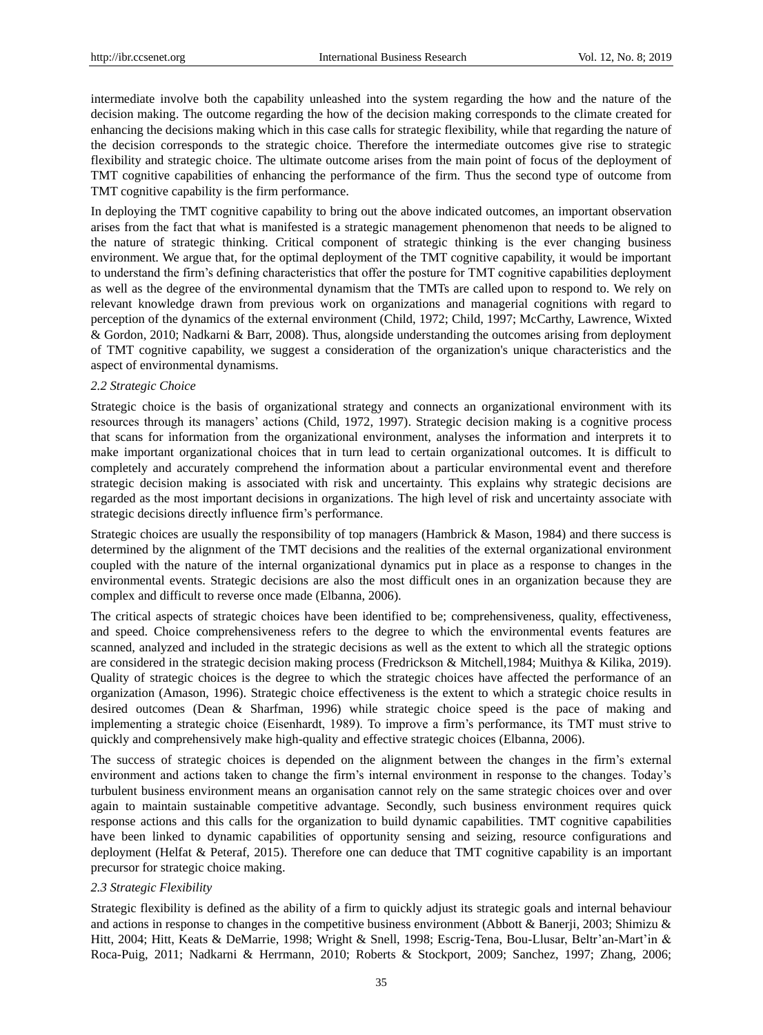intermediate involve both the capability unleashed into the system regarding the how and the nature of the decision making. The outcome regarding the how of the decision making corresponds to the climate created for enhancing the decisions making which in this case calls for strategic flexibility, while that regarding the nature of the decision corresponds to the strategic choice. Therefore the intermediate outcomes give rise to strategic flexibility and strategic choice. The ultimate outcome arises from the main point of focus of the deployment of TMT cognitive capabilities of enhancing the performance of the firm. Thus the second type of outcome from TMT cognitive capability is the firm performance.

In deploying the TMT cognitive capability to bring out the above indicated outcomes, an important observation arises from the fact that what is manifested is a strategic management phenomenon that needs to be aligned to the nature of strategic thinking. Critical component of strategic thinking is the ever changing business environment. We argue that, for the optimal deployment of the TMT cognitive capability, it would be important to understand the firm's defining characteristics that offer the posture for TMT cognitive capabilities deployment as well as the degree of the environmental dynamism that the TMTs are called upon to respond to. We rely on relevant knowledge drawn from previous work on organizations and managerial cognitions with regard to perception of the dynamics of the external environment (Child, 1972; Child, 1997; McCarthy, Lawrence, Wixted & Gordon, 2010; Nadkarni & Barr, 2008). Thus, alongside understanding the outcomes arising from deployment of TMT cognitive capability, we suggest a consideration of the organization's unique characteristics and the aspect of environmental dynamisms.

#### *2.2 Strategic Choice*

Strategic choice is the basis of organizational strategy and connects an organizational environment with its resources through its managers' actions (Child, 1972, 1997). Strategic decision making is a cognitive process that scans for information from the organizational environment, analyses the information and interprets it to make important organizational choices that in turn lead to certain organizational outcomes. It is difficult to completely and accurately comprehend the information about a particular environmental event and therefore strategic decision making is associated with risk and uncertainty. This explains why strategic decisions are regarded as the most important decisions in organizations. The high level of risk and uncertainty associate with strategic decisions directly influence firm's performance.

Strategic choices are usually the responsibility of top managers (Hambrick & Mason, 1984) and there success is determined by the alignment of the TMT decisions and the realities of the external organizational environment coupled with the nature of the internal organizational dynamics put in place as a response to changes in the environmental events. Strategic decisions are also the most difficult ones in an organization because they are complex and difficult to reverse once made (Elbanna, 2006).

The critical aspects of strategic choices have been identified to be; comprehensiveness, quality, effectiveness, and speed. Choice comprehensiveness refers to the degree to which the environmental events features are scanned, analyzed and included in the strategic decisions as well as the extent to which all the strategic options are considered in the strategic decision making process (Fredrickson & Mitchell,1984; Muithya & Kilika, 2019). Quality of strategic choices is the degree to which the strategic choices have affected the performance of an organization (Amason, 1996). Strategic choice effectiveness is the extent to which a strategic choice results in desired outcomes (Dean & Sharfman, 1996) while strategic choice speed is the pace of making and implementing a strategic choice (Eisenhardt, 1989). To improve a firm's performance, its TMT must strive to quickly and comprehensively make high-quality and effective strategic choices (Elbanna, 2006).

The success of strategic choices is depended on the alignment between the changes in the firm's external environment and actions taken to change the firm's internal environment in response to the changes. Today's turbulent business environment means an organisation cannot rely on the same strategic choices over and over again to maintain sustainable competitive advantage. Secondly, such business environment requires quick response actions and this calls for the organization to build dynamic capabilities. TMT cognitive capabilities have been linked to dynamic capabilities of opportunity sensing and seizing, resource configurations and deployment (Helfat & Peteraf, 2015). Therefore one can deduce that TMT cognitive capability is an important precursor for strategic choice making.

# *2.3 Strategic Flexibility*

Strategic flexibility is defined as the ability of a firm to quickly adjust its strategic goals and internal behaviour and actions in response to changes in the competitive business environment (Abbott & Banerji, 2003; Shimizu & Hitt, 2004; Hitt, Keats & DeMarrie, 1998; Wright & Snell, 1998; Escrig-Tena, Bou-Llusar, Beltr'an-Mart'in & Roca-Puig, 2011; Nadkarni & Herrmann, 2010; Roberts & Stockport, 2009; Sanchez, 1997; Zhang, 2006;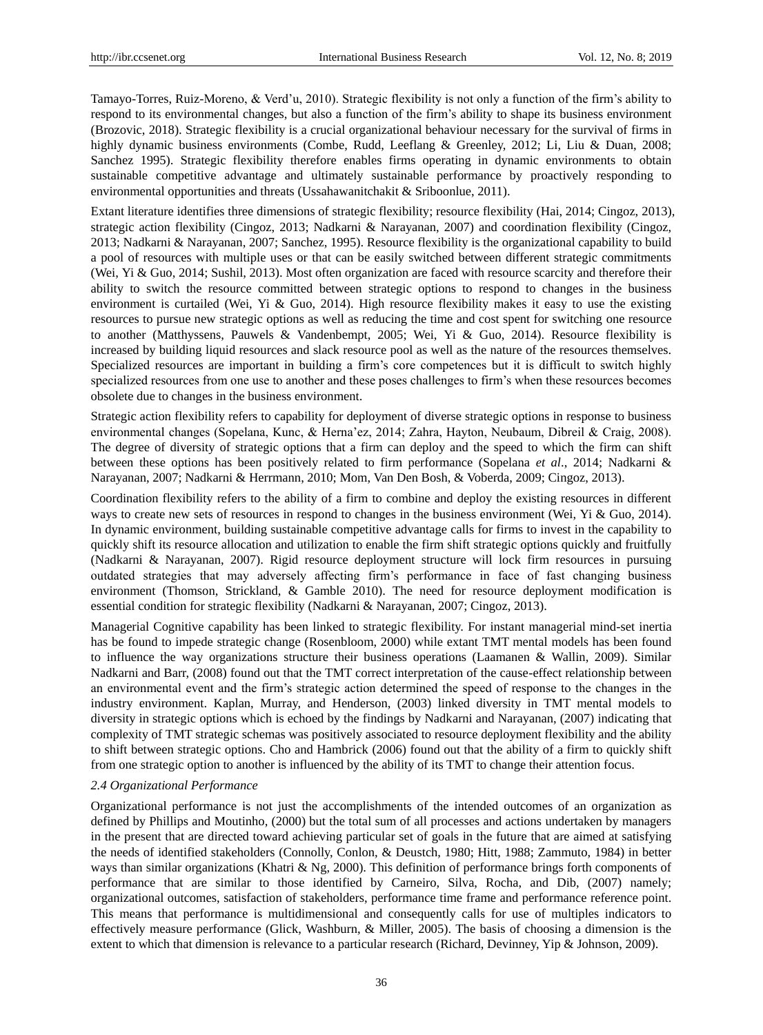Tamayo-Torres, Ruiz-Moreno, & Verd'u, 2010). Strategic flexibility is not only a function of the firm's ability to respond to its environmental changes, but also a function of the firm's ability to shape its business environment (Brozovic, 2018). Strategic flexibility is a crucial organizational behaviour necessary for the survival of firms in highly dynamic business environments (Combe, Rudd, Leeflang & Greenley, 2012; Li, Liu & Duan, 2008; Sanchez 1995). Strategic flexibility therefore enables firms operating in dynamic environments to obtain sustainable competitive advantage and ultimately sustainable performance by proactively responding to environmental opportunities and threats (Ussahawanitchakit & Sriboonlue, 2011).

Extant literature identifies three dimensions of strategic flexibility; resource flexibility (Hai, 2014; Cingoz, 2013), strategic action flexibility (Cingoz, 2013; Nadkarni & Narayanan, 2007) and coordination flexibility (Cingoz, 2013; Nadkarni & Narayanan, 2007; Sanchez, 1995). Resource flexibility is the organizational capability to build a pool of resources with multiple uses or that can be easily switched between different strategic commitments (Wei, Yi & Guo, 2014; Sushil, 2013). Most often organization are faced with resource scarcity and therefore their ability to switch the resource committed between strategic options to respond to changes in the business environment is curtailed (Wei, Yi & Guo, 2014). High resource flexibility makes it easy to use the existing resources to pursue new strategic options as well as reducing the time and cost spent for switching one resource to another (Matthyssens, Pauwels & Vandenbempt, 2005; Wei, Yi & Guo, 2014). Resource flexibility is increased by building liquid resources and slack resource pool as well as the nature of the resources themselves. Specialized resources are important in building a firm's core competences but it is difficult to switch highly specialized resources from one use to another and these poses challenges to firm's when these resources becomes obsolete due to changes in the business environment.

Strategic action flexibility refers to capability for deployment of diverse strategic options in response to business environmental changes (Sopelana, Kunc, & Herna'ez, 2014; Zahra, Hayton, Neubaum, Dibreil & Craig, 2008). The degree of diversity of strategic options that a firm can deploy and the speed to which the firm can shift between these options has been positively related to firm performance (Sopelana *et al*., 2014; Nadkarni & Narayanan, 2007; Nadkarni & Herrmann, 2010; Mom, Van Den Bosh, & Voberda, 2009; Cingoz, 2013).

Coordination flexibility refers to the ability of a firm to combine and deploy the existing resources in different ways to create new sets of resources in respond to changes in the business environment (Wei, Yi & Guo, 2014). In dynamic environment, building sustainable competitive advantage calls for firms to invest in the capability to quickly shift its resource allocation and utilization to enable the firm shift strategic options quickly and fruitfully (Nadkarni & Narayanan, 2007). Rigid resource deployment structure will lock firm resources in pursuing outdated strategies that may adversely affecting firm's performance in face of fast changing business environment (Thomson, Strickland, & Gamble 2010). The need for resource deployment modification is essential condition for strategic flexibility (Nadkarni & Narayanan, 2007; Cingoz, 2013).

Managerial Cognitive capability has been linked to strategic flexibility. For instant managerial mind-set inertia has be found to impede strategic change (Rosenbloom, 2000) while extant TMT mental models has been found to influence the way organizations structure their business operations (Laamanen & Wallin, 2009). Similar Nadkarni and Barr, (2008) found out that the TMT correct interpretation of the cause-effect relationship between an environmental event and the firm's strategic action determined the speed of response to the changes in the industry environment. Kaplan, Murray, and Henderson, (2003) linked diversity in TMT mental models to diversity in strategic options which is echoed by the findings by Nadkarni and Narayanan, (2007) indicating that complexity of TMT strategic schemas was positively associated to resource deployment flexibility and the ability to shift between strategic options. Cho and Hambrick (2006) found out that the ability of a firm to quickly shift from one strategic option to another is influenced by the ability of its TMT to change their attention focus.

## *2.4 Organizational Performance*

Organizational performance is not just the accomplishments of the intended outcomes of an organization as defined by Phillips and Moutinho, (2000) but the total sum of all processes and actions undertaken by managers in the present that are directed toward achieving particular set of goals in the future that are aimed at satisfying the needs of identified stakeholders (Connolly, Conlon, & Deustch, 1980; Hitt, 1988; Zammuto, 1984) in better ways than similar organizations (Khatri & Ng, 2000). This definition of performance brings forth components of performance that are similar to those identified by Carneiro, Silva, Rocha, and Dib, (2007) namely; organizational outcomes, satisfaction of stakeholders, performance time frame and performance reference point. This means that performance is multidimensional and consequently calls for use of multiples indicators to effectively measure performance (Glick, Washburn, & Miller, 2005). The basis of choosing a dimension is the extent to which that dimension is relevance to a particular research (Richard, Devinney, Yip & Johnson, 2009).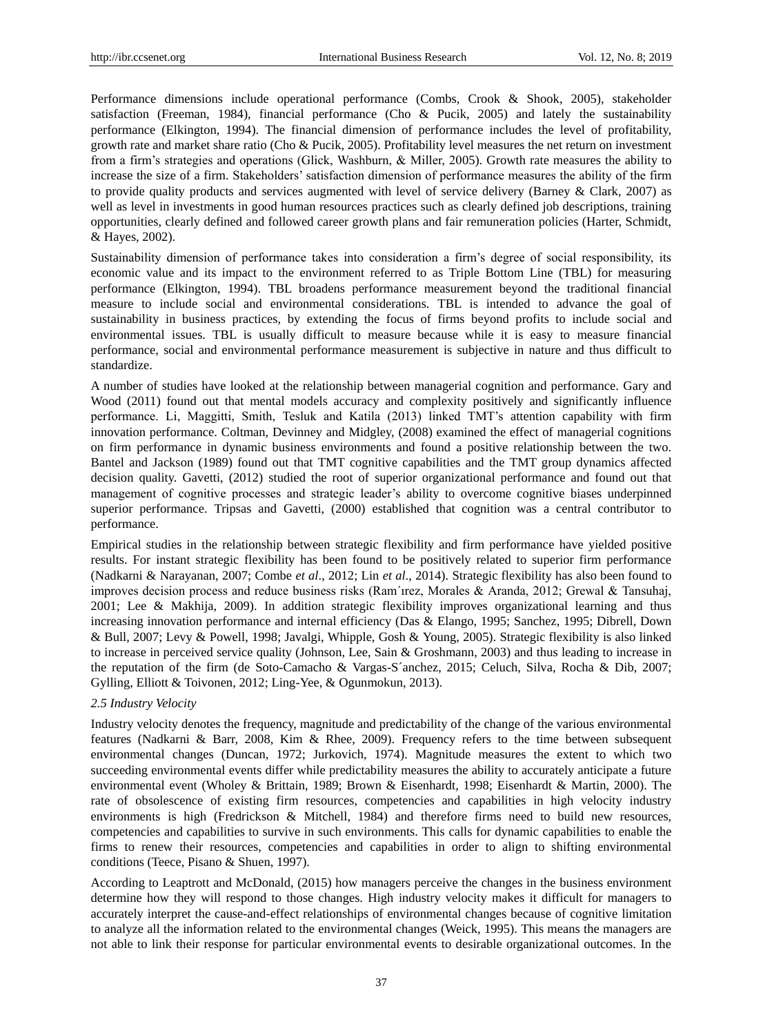Performance dimensions include operational performance (Combs, Crook & Shook, 2005), stakeholder satisfaction (Freeman, 1984), financial performance (Cho & Pucik, 2005) and lately the sustainability performance (Elkington, 1994). The financial dimension of performance includes the level of profitability, growth rate and market share ratio (Cho & Pucik, 2005). Profitability level measures the net return on investment from a firm's strategies and operations (Glick, Washburn, & Miller, 2005). Growth rate measures the ability to increase the size of a firm. Stakeholders' satisfaction dimension of performance measures the ability of the firm to provide quality products and services augmented with level of service delivery (Barney & Clark, 2007) as well as level in investments in good human resources practices such as clearly defined job descriptions, training opportunities, clearly defined and followed career growth plans and fair remuneration policies (Harter, Schmidt, & Hayes, 2002).

Sustainability dimension of performance takes into consideration a firm's degree of social responsibility, its economic value and its impact to the environment referred to as Triple Bottom Line (TBL) for measuring performance (Elkington, 1994). TBL broadens performance measurement beyond the traditional financial measure to include social and environmental considerations. TBL is intended to advance the goal of sustainability in business practices, by extending the focus of firms beyond profits to include social and environmental issues. TBL is usually difficult to measure because while it is easy to measure financial performance, social and environmental performance measurement is subjective in nature and thus difficult to standardize.

A number of studies have looked at the relationship between managerial cognition and performance. Gary and Wood (2011) found out that mental models accuracy and complexity positively and significantly influence performance. Li, Maggitti, Smith, Tesluk and Katila (2013) linked TMT's attention capability with firm innovation performance. Coltman, Devinney and Midgley, (2008) examined the effect of managerial cognitions on firm performance in dynamic business environments and found a positive relationship between the two. Bantel and Jackson (1989) found out that TMT cognitive capabilities and the TMT group dynamics affected decision quality. Gavetti, (2012) studied the root of superior organizational performance and found out that management of cognitive processes and strategic leader's ability to overcome cognitive biases underpinned superior performance. Tripsas and Gavetti, (2000) established that cognition was a central contributor to performance.

Empirical studies in the relationship between strategic flexibility and firm performance have yielded positive results. For instant strategic flexibility has been found to be positively related to superior firm performance (Nadkarni & Narayanan, 2007; Combe *et al*., 2012; Lin *et al*., 2014). Strategic flexibility has also been found to improves decision process and reduce business risks (Ram'ırez, Morales & Aranda, 2012; Grewal & Tansuhaj, 2001; Lee & Makhija, 2009). In addition strategic flexibility improves organizational learning and thus increasing innovation performance and internal efficiency (Das & Elango, 1995; Sanchez, 1995; Dibrell, Down & Bull, 2007; Levy & Powell, 1998; Javalgi, Whipple, Gosh & Young, 2005). Strategic flexibility is also linked to increase in perceived service quality (Johnson, Lee, Sain & Groshmann, 2003) and thus leading to increase in the reputation of the firm (de Soto-Camacho & Vargas-S´anchez, 2015; Celuch, Silva, Rocha & Dib, 2007; Gylling, Elliott & Toivonen, 2012; Ling-Yee, & Ogunmokun, 2013).

#### *2.5 Industry Velocity*

Industry velocity denotes the frequency, magnitude and predictability of the change of the various environmental features (Nadkarni & Barr, 2008, Kim & Rhee, 2009). Frequency refers to the time between subsequent environmental changes (Duncan, 1972; Jurkovich, 1974). Magnitude measures the extent to which two succeeding environmental events differ while predictability measures the ability to accurately anticipate a future environmental event (Wholey & Brittain, 1989; Brown & Eisenhardt, 1998; Eisenhardt & Martin, 2000). The rate of obsolescence of existing firm resources, competencies and capabilities in high velocity industry environments is high (Fredrickson & Mitchell, 1984) and therefore firms need to build new resources, competencies and capabilities to survive in such environments. This calls for dynamic capabilities to enable the firms to renew their resources, competencies and capabilities in order to align to shifting environmental conditions (Teece, Pisano & Shuen, 1997).

According to Leaptrott and McDonald, (2015) how managers perceive the changes in the business environment determine how they will respond to those changes. High industry velocity makes it difficult for managers to accurately interpret the cause-and-effect relationships of environmental changes because of cognitive limitation to analyze all the information related to the environmental changes (Weick, 1995). This means the managers are not able to link their response for particular environmental events to desirable organizational outcomes. In the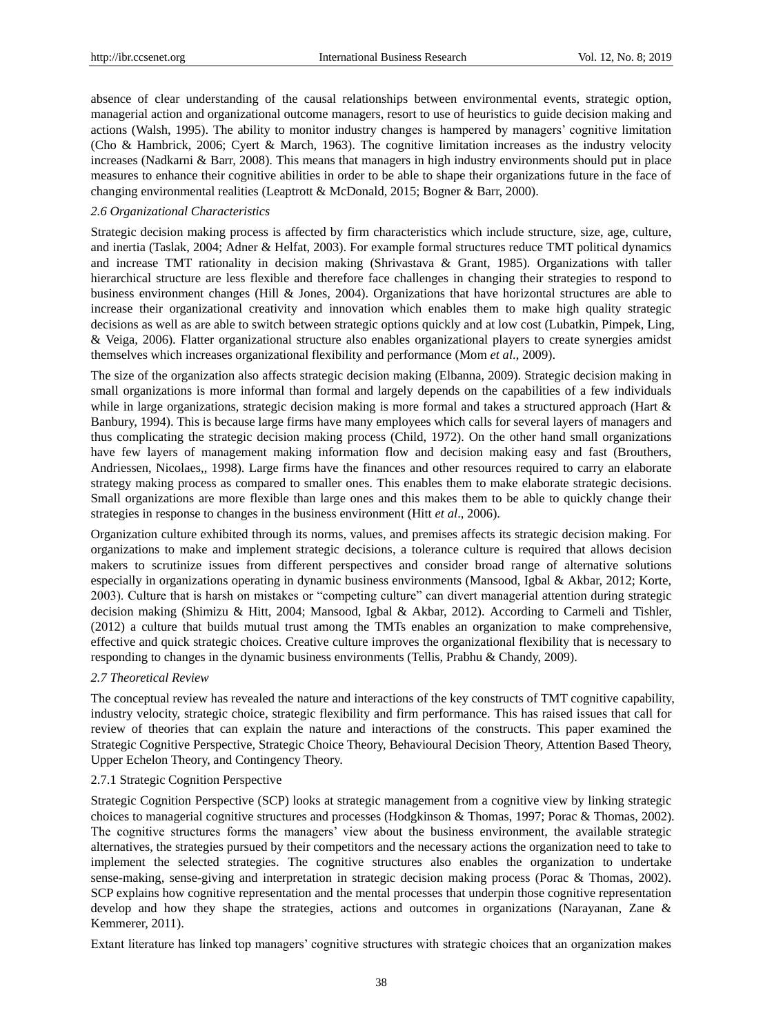absence of clear understanding of the causal relationships between environmental events, strategic option, managerial action and organizational outcome managers, resort to use of heuristics to guide decision making and actions (Walsh, 1995). The ability to monitor industry changes is hampered by managers' cognitive limitation (Cho & Hambrick, 2006; Cyert & March, 1963). The cognitive limitation increases as the industry velocity increases (Nadkarni & Barr, 2008). This means that managers in high industry environments should put in place measures to enhance their cognitive abilities in order to be able to shape their organizations future in the face of changing environmental realities (Leaptrott & McDonald, 2015; Bogner & Barr, 2000).

#### *2.6 Organizational Characteristics*

Strategic decision making process is affected by firm characteristics which include structure, size, age, culture, and inertia (Taslak, 2004; Adner & Helfat, 2003). For example formal structures reduce TMT political dynamics and increase TMT rationality in decision making (Shrivastava & Grant, 1985). Organizations with taller hierarchical structure are less flexible and therefore face challenges in changing their strategies to respond to business environment changes (Hill & Jones, 2004). Organizations that have horizontal structures are able to increase their organizational creativity and innovation which enables them to make high quality strategic decisions as well as are able to switch between strategic options quickly and at low cost (Lubatkin, Pimpek, Ling, & Veiga, 2006). Flatter organizational structure also enables organizational players to create synergies amidst themselves which increases organizational flexibility and performance (Mom *et al*., 2009).

The size of the organization also affects strategic decision making (Elbanna, 2009). Strategic decision making in small organizations is more informal than formal and largely depends on the capabilities of a few individuals while in large organizations, strategic decision making is more formal and takes a structured approach (Hart & Banbury, 1994). This is because large firms have many employees which calls for several layers of managers and thus complicating the strategic decision making process (Child, 1972). On the other hand small organizations have few layers of management making information flow and decision making easy and fast (Brouthers, Andriessen, Nicolaes,, 1998). Large firms have the finances and other resources required to carry an elaborate strategy making process as compared to smaller ones. This enables them to make elaborate strategic decisions. Small organizations are more flexible than large ones and this makes them to be able to quickly change their strategies in response to changes in the business environment (Hitt *et al*., 2006).

Organization culture exhibited through its norms, values, and premises affects its strategic decision making. For organizations to make and implement strategic decisions, a tolerance culture is required that allows decision makers to scrutinize issues from different perspectives and consider broad range of alternative solutions especially in organizations operating in dynamic business environments (Mansood, Igbal & Akbar, 2012; Korte, 2003). Culture that is harsh on mistakes or "competing culture" can divert managerial attention during strategic decision making (Shimizu & Hitt, 2004; Mansood, Igbal & Akbar, 2012). According to Carmeli and Tishler, (2012) a culture that builds mutual trust among the TMTs enables an organization to make comprehensive, effective and quick strategic choices. Creative culture improves the organizational flexibility that is necessary to responding to changes in the dynamic business environments (Tellis, Prabhu & Chandy, 2009).

#### *2.7 Theoretical Review*

The conceptual review has revealed the nature and interactions of the key constructs of TMT cognitive capability, industry velocity, strategic choice, strategic flexibility and firm performance. This has raised issues that call for review of theories that can explain the nature and interactions of the constructs. This paper examined the Strategic Cognitive Perspective, Strategic Choice Theory, Behavioural Decision Theory, Attention Based Theory, Upper Echelon Theory, and Contingency Theory.

## 2.7.1 Strategic Cognition Perspective

Strategic Cognition Perspective (SCP) looks at strategic management from a cognitive view by linking strategic choices to managerial cognitive structures and processes (Hodgkinson & Thomas, 1997; Porac & Thomas, 2002). The cognitive structures forms the managers' view about the business environment, the available strategic alternatives, the strategies pursued by their competitors and the necessary actions the organization need to take to implement the selected strategies. The cognitive structures also enables the organization to undertake sense-making, sense-giving and interpretation in strategic decision making process (Porac & Thomas, 2002). SCP explains how cognitive representation and the mental processes that underpin those cognitive representation develop and how they shape the strategies, actions and outcomes in organizations (Narayanan, Zane & Kemmerer, 2011).

Extant literature has linked top managers' cognitive structures with strategic choices that an organization makes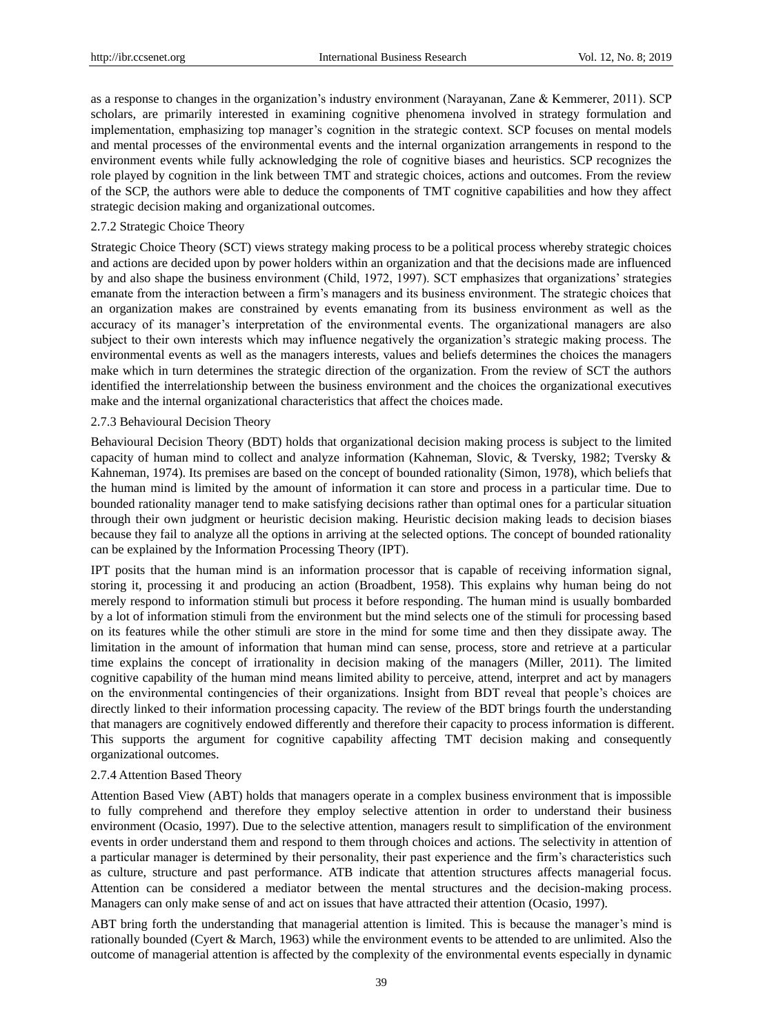as a response to changes in the organization's industry environment (Narayanan, Zane & Kemmerer, 2011). SCP scholars, are primarily interested in examining cognitive phenomena involved in strategy formulation and implementation, emphasizing top manager's cognition in the strategic context. SCP focuses on mental models and mental processes of the environmental events and the internal organization arrangements in respond to the environment events while fully acknowledging the role of cognitive biases and heuristics. SCP recognizes the role played by cognition in the link between TMT and strategic choices, actions and outcomes. From the review of the SCP, the authors were able to deduce the components of TMT cognitive capabilities and how they affect strategic decision making and organizational outcomes.

## 2.7.2 Strategic Choice Theory

Strategic Choice Theory (SCT) views strategy making process to be a political process whereby strategic choices and actions are decided upon by power holders within an organization and that the decisions made are influenced by and also shape the business environment (Child, 1972, 1997). SCT emphasizes that organizations' strategies emanate from the interaction between a firm's managers and its business environment. The strategic choices that an organization makes are constrained by events emanating from its business environment as well as the accuracy of its manager's interpretation of the environmental events. The organizational managers are also subject to their own interests which may influence negatively the organization's strategic making process. The environmental events as well as the managers interests, values and beliefs determines the choices the managers make which in turn determines the strategic direction of the organization. From the review of SCT the authors identified the interrelationship between the business environment and the choices the organizational executives make and the internal organizational characteristics that affect the choices made.

#### 2.7.3 Behavioural Decision Theory

Behavioural Decision Theory (BDT) holds that organizational decision making process is subject to the limited capacity of human mind to collect and analyze information (Kahneman, Slovic, & Tversky, 1982; Tversky & Kahneman, 1974). Its premises are based on the concept of bounded rationality (Simon, 1978), which beliefs that the human mind is limited by the amount of information it can store and process in a particular time. Due to bounded rationality manager tend to make satisfying decisions rather than optimal ones for a particular situation through their own judgment or heuristic decision making. Heuristic decision making leads to decision biases because they fail to analyze all the options in arriving at the selected options. The concept of bounded rationality can be explained by the Information Processing Theory (IPT).

IPT posits that the human mind is an information processor that is capable of receiving information signal, storing it, processing it and producing an action (Broadbent, 1958). This explains why human being do not merely respond to information stimuli but process it before responding. The human mind is usually bombarded by a lot of information stimuli from the environment but the mind selects one of the stimuli for processing based on its features while the other stimuli are store in the mind for some time and then they dissipate away. The limitation in the amount of information that human mind can sense, process, store and retrieve at a particular time explains the concept of irrationality in decision making of the managers (Miller, 2011). The limited cognitive capability of the human mind means limited ability to perceive, attend, interpret and act by managers on the environmental contingencies of their organizations. Insight from BDT reveal that people's choices are directly linked to their information processing capacity. The review of the BDT brings fourth the understanding that managers are cognitively endowed differently and therefore their capacity to process information is different. This supports the argument for cognitive capability affecting TMT decision making and consequently organizational outcomes.

#### 2.7.4 Attention Based Theory

Attention Based View (ABT) holds that managers operate in a complex business environment that is impossible to fully comprehend and therefore they employ selective attention in order to understand their business environment (Ocasio, 1997). Due to the selective attention, managers result to simplification of the environment events in order understand them and respond to them through choices and actions. The selectivity in attention of a particular manager is determined by their personality, their past experience and the firm's characteristics such as culture, structure and past performance. ATB indicate that attention structures affects managerial focus. Attention can be considered a mediator between the mental structures and the decision-making process. Managers can only make sense of and act on issues that have attracted their attention (Ocasio, 1997).

ABT bring forth the understanding that managerial attention is limited. This is because the manager's mind is rationally bounded (Cyert & March, 1963) while the environment events to be attended to are unlimited. Also the outcome of managerial attention is affected by the complexity of the environmental events especially in dynamic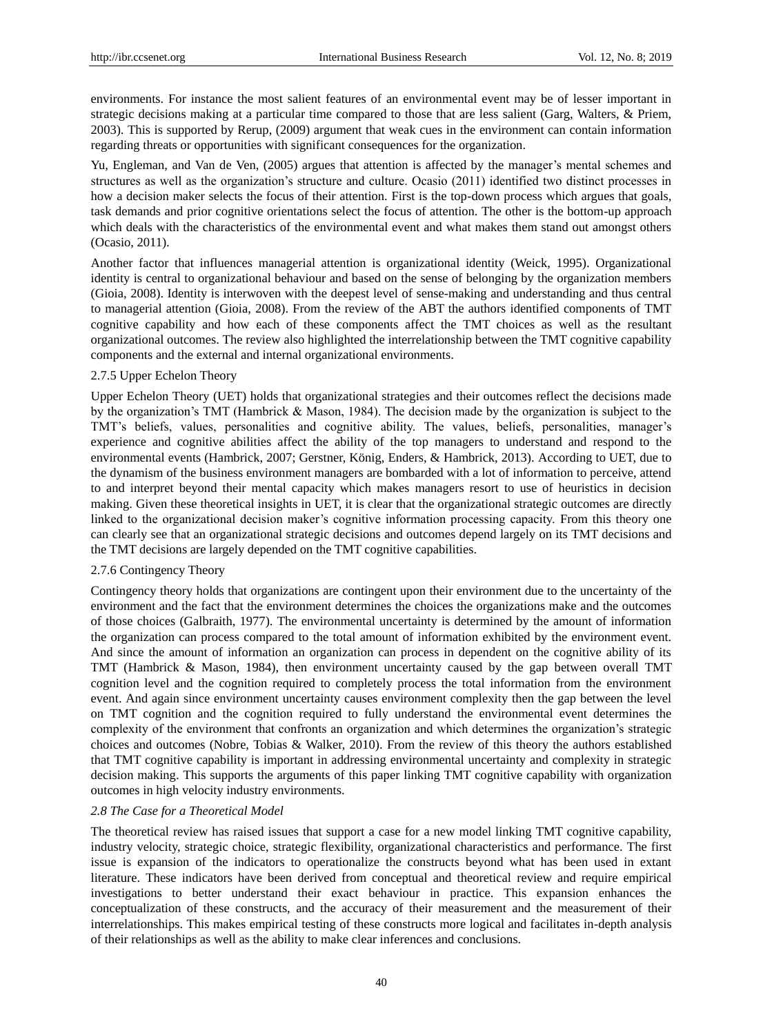environments. For instance the most salient features of an environmental event may be of lesser important in strategic decisions making at a particular time compared to those that are less salient (Garg, Walters, & Priem, 2003). This is supported by Rerup, (2009) argument that weak cues in the environment can contain information regarding threats or opportunities with significant consequences for the organization.

Yu, Engleman, and Van de Ven, (2005) argues that attention is affected by the manager's mental schemes and structures as well as the organization's structure and culture. Ocasio (2011) identified two distinct processes in how a decision maker selects the focus of their attention. First is the top-down process which argues that goals, task demands and prior cognitive orientations select the focus of attention. The other is the bottom-up approach which deals with the characteristics of the environmental event and what makes them stand out amongst others (Ocasio, 2011).

Another factor that influences managerial attention is organizational identity (Weick, 1995). Organizational identity is central to organizational behaviour and based on the sense of belonging by the organization members (Gioia, 2008). Identity is interwoven with the deepest level of sense-making and understanding and thus central to managerial attention (Gioia, 2008). From the review of the ABT the authors identified components of TMT cognitive capability and how each of these components affect the TMT choices as well as the resultant organizational outcomes. The review also highlighted the interrelationship between the TMT cognitive capability components and the external and internal organizational environments.

#### 2.7.5 Upper Echelon Theory

Upper Echelon Theory (UET) holds that organizational strategies and their outcomes reflect the decisions made by the organization's TMT (Hambrick & Mason, 1984). The decision made by the organization is subject to the TMT's beliefs, values, personalities and cognitive ability. The values, beliefs, personalities, manager's experience and cognitive abilities affect the ability of the top managers to understand and respond to the environmental events (Hambrick, 2007; Gerstner, König, Enders, & Hambrick, 2013). According to UET, due to the dynamism of the business environment managers are bombarded with a lot of information to perceive, attend to and interpret beyond their mental capacity which makes managers resort to use of heuristics in decision making. Given these theoretical insights in UET, it is clear that the organizational strategic outcomes are directly linked to the organizational decision maker's cognitive information processing capacity. From this theory one can clearly see that an organizational strategic decisions and outcomes depend largely on its TMT decisions and the TMT decisions are largely depended on the TMT cognitive capabilities.

## 2.7.6 Contingency Theory

Contingency theory holds that organizations are contingent upon their environment due to the uncertainty of the environment and the fact that the environment determines the choices the organizations make and the outcomes of those choices (Galbraith, 1977). The environmental uncertainty is determined by the amount of information the organization can process compared to the total amount of information exhibited by the environment event. And since the amount of information an organization can process in dependent on the cognitive ability of its TMT (Hambrick & Mason, 1984), then environment uncertainty caused by the gap between overall TMT cognition level and the cognition required to completely process the total information from the environment event. And again since environment uncertainty causes environment complexity then the gap between the level on TMT cognition and the cognition required to fully understand the environmental event determines the complexity of the environment that confronts an organization and which determines the organization's strategic choices and outcomes (Nobre, Tobias & Walker, 2010). From the review of this theory the authors established that TMT cognitive capability is important in addressing environmental uncertainty and complexity in strategic decision making. This supports the arguments of this paper linking TMT cognitive capability with organization outcomes in high velocity industry environments.

#### *2.8 The Case for a Theoretical Model*

The theoretical review has raised issues that support a case for a new model linking TMT cognitive capability, industry velocity, strategic choice, strategic flexibility, organizational characteristics and performance. The first issue is expansion of the indicators to operationalize the constructs beyond what has been used in extant literature. These indicators have been derived from conceptual and theoretical review and require empirical investigations to better understand their exact behaviour in practice. This expansion enhances the conceptualization of these constructs, and the accuracy of their measurement and the measurement of their interrelationships. This makes empirical testing of these constructs more logical and facilitates in-depth analysis of their relationships as well as the ability to make clear inferences and conclusions.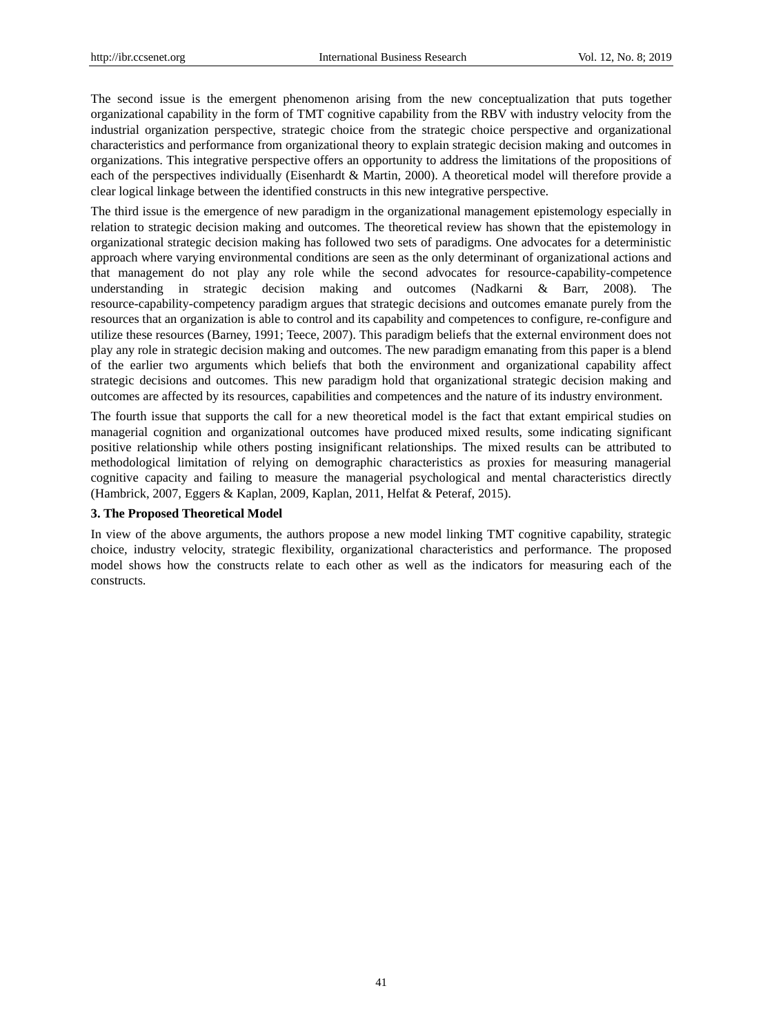The second issue is the emergent phenomenon arising from the new conceptualization that puts together organizational capability in the form of TMT cognitive capability from the RBV with industry velocity from the industrial organization perspective, strategic choice from the strategic choice perspective and organizational characteristics and performance from organizational theory to explain strategic decision making and outcomes in organizations. This integrative perspective offers an opportunity to address the limitations of the propositions of each of the perspectives individually (Eisenhardt & Martin, 2000). A theoretical model will therefore provide a clear logical linkage between the identified constructs in this new integrative perspective.

The third issue is the emergence of new paradigm in the organizational management epistemology especially in relation to strategic decision making and outcomes. The theoretical review has shown that the epistemology in organizational strategic decision making has followed two sets of paradigms. One advocates for a deterministic approach where varying environmental conditions are seen as the only determinant of organizational actions and that management do not play any role while the second advocates for resource-capability-competence understanding in strategic decision making and outcomes (Nadkarni & Barr, 2008). The resource-capability-competency paradigm argues that strategic decisions and outcomes emanate purely from the resources that an organization is able to control and its capability and competences to configure, re-configure and utilize these resources (Barney, 1991; Teece, 2007). This paradigm beliefs that the external environment does not play any role in strategic decision making and outcomes. The new paradigm emanating from this paper is a blend of the earlier two arguments which beliefs that both the environment and organizational capability affect strategic decisions and outcomes. This new paradigm hold that organizational strategic decision making and outcomes are affected by its resources, capabilities and competences and the nature of its industry environment.

The fourth issue that supports the call for a new theoretical model is the fact that extant empirical studies on managerial cognition and organizational outcomes have produced mixed results, some indicating significant positive relationship while others posting insignificant relationships. The mixed results can be attributed to methodological limitation of relying on demographic characteristics as proxies for measuring managerial cognitive capacity and failing to measure the managerial psychological and mental characteristics directly (Hambrick, 2007, Eggers & Kaplan, 2009, Kaplan, 2011, Helfat & Peteraf, 2015).

## **3. The Proposed Theoretical Model**

In view of the above arguments, the authors propose a new model linking TMT cognitive capability, strategic choice, industry velocity, strategic flexibility, organizational characteristics and performance. The proposed model shows how the constructs relate to each other as well as the indicators for measuring each of the constructs.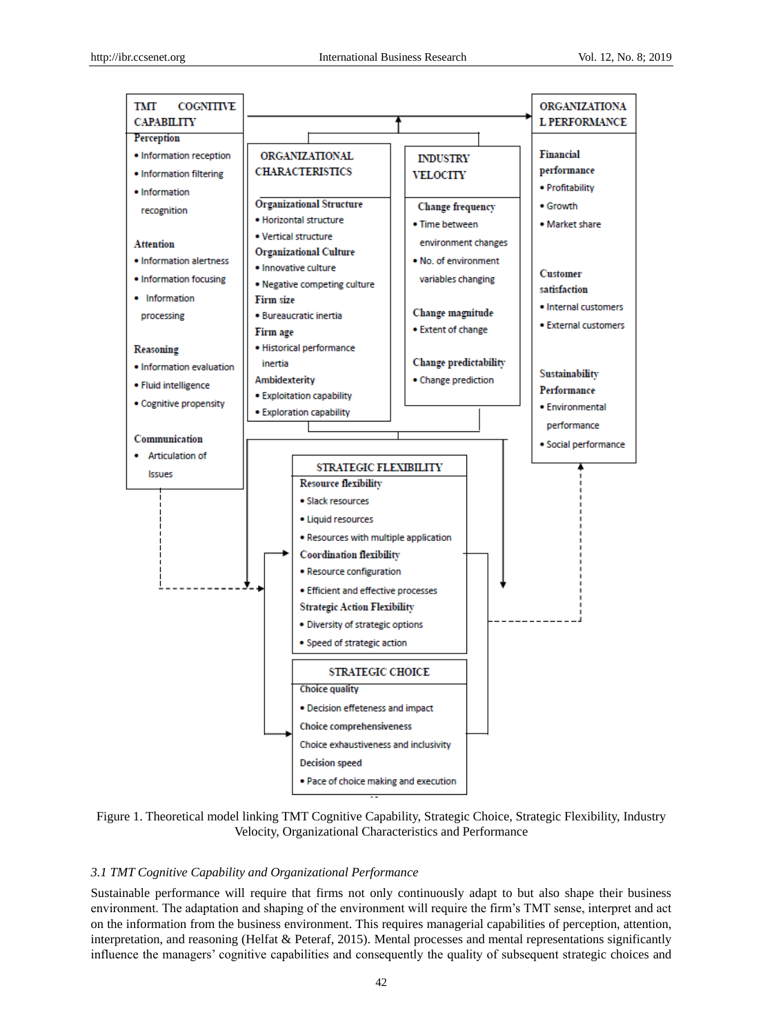

Figure 1. Theoretical model linking TMT Cognitive Capability, Strategic Choice, Strategic Flexibility, Industry Velocity, Organizational Characteristics and Performance

#### *3.1 TMT Cognitive Capability and Organizational Performance*

Sustainable performance will require that firms not only continuously adapt to but also shape their business environment. The adaptation and shaping of the environment will require the firm's TMT sense, interpret and act on the information from the business environment. This requires managerial capabilities of perception, attention, interpretation, and reasoning (Helfat & Peteraf, 2015). Mental processes and mental representations significantly influence the managers' cognitive capabilities and consequently the quality of subsequent strategic choices and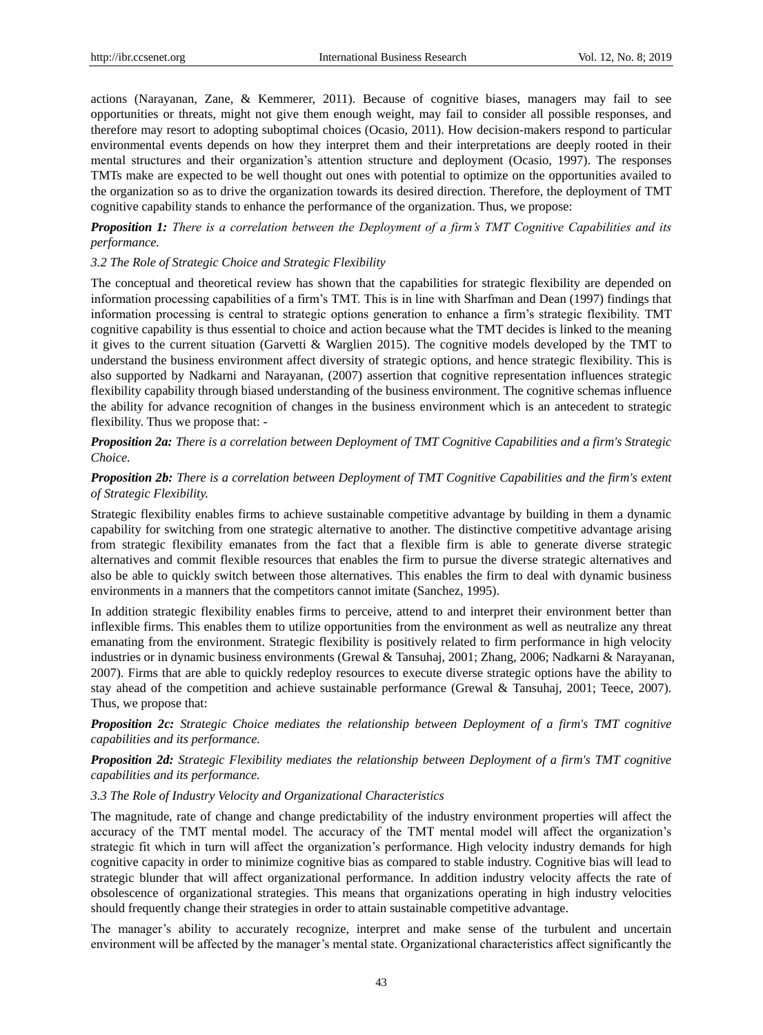actions (Narayanan, Zane, & Kemmerer, 2011). Because of cognitive biases, managers may fail to see opportunities or threats, might not give them enough weight, may fail to consider all possible responses, and therefore may resort to adopting suboptimal choices (Ocasio, 2011). How decision-makers respond to particular environmental events depends on how they interpret them and their interpretations are deeply rooted in their mental structures and their organization's attention structure and deployment (Ocasio, 1997). The responses TMTs make are expected to be well thought out ones with potential to optimize on the opportunities availed to the organization so as to drive the organization towards its desired direction. Therefore, the deployment of TMT cognitive capability stands to enhance the performance of the organization. Thus, we propose:

*Proposition 1: There is a correlation between the Deployment of a firm's TMT Cognitive Capabilities and its performance.* 

#### *3.2 The Role of Strategic Choice and Strategic Flexibility*

The conceptual and theoretical review has shown that the capabilities for strategic flexibility are depended on information processing capabilities of a firm's TMT. This is in line with Sharfman and Dean (1997) findings that information processing is central to strategic options generation to enhance a firm's strategic flexibility. TMT cognitive capability is thus essential to choice and action because what the TMT decides is linked to the meaning it gives to the current situation (Garvetti & Warglien 2015). The cognitive models developed by the TMT to understand the business environment affect diversity of strategic options, and hence strategic flexibility. This is also supported by Nadkarni and Narayanan, (2007) assertion that cognitive representation influences strategic flexibility capability through biased understanding of the business environment. The cognitive schemas influence the ability for advance recognition of changes in the business environment which is an antecedent to strategic flexibility. Thus we propose that: -

*Proposition 2a: There is a correlation between Deployment of TMT Cognitive Capabilities and a firm's Strategic Choice.* 

# *Proposition 2b: There is a correlation between Deployment of TMT Cognitive Capabilities and the firm's extent of Strategic Flexibility.*

Strategic flexibility enables firms to achieve sustainable competitive advantage by building in them a dynamic capability for switching from one strategic alternative to another. The distinctive competitive advantage arising from strategic flexibility emanates from the fact that a flexible firm is able to generate diverse strategic alternatives and commit flexible resources that enables the firm to pursue the diverse strategic alternatives and also be able to quickly switch between those alternatives. This enables the firm to deal with dynamic business environments in a manners that the competitors cannot imitate (Sanchez, 1995).

In addition strategic flexibility enables firms to perceive, attend to and interpret their environment better than inflexible firms. This enables them to utilize opportunities from the environment as well as neutralize any threat emanating from the environment. Strategic flexibility is positively related to firm performance in high velocity industries or in dynamic business environments (Grewal & Tansuhaj, 2001; Zhang, 2006; Nadkarni & Narayanan, 2007). Firms that are able to quickly redeploy resources to execute diverse strategic options have the ability to stay ahead of the competition and achieve sustainable performance (Grewal & Tansuhaj, 2001; Teece, 2007). Thus, we propose that:

*Proposition 2c: Strategic Choice mediates the relationship between Deployment of a firm's TMT cognitive capabilities and its performance.*

# *Proposition 2d: Strategic Flexibility mediates the relationship between Deployment of a firm's TMT cognitive capabilities and its performance.*

#### *3.3 The Role of Industry Velocity and Organizational Characteristics*

The magnitude, rate of change and change predictability of the industry environment properties will affect the accuracy of the TMT mental model. The accuracy of the TMT mental model will affect the organization's strategic fit which in turn will affect the organization's performance. High velocity industry demands for high cognitive capacity in order to minimize cognitive bias as compared to stable industry. Cognitive bias will lead to strategic blunder that will affect organizational performance. In addition industry velocity affects the rate of obsolescence of organizational strategies. This means that organizations operating in high industry velocities should frequently change their strategies in order to attain sustainable competitive advantage.

The manager's ability to accurately recognize, interpret and make sense of the turbulent and uncertain environment will be affected by the manager's mental state. Organizational characteristics affect significantly the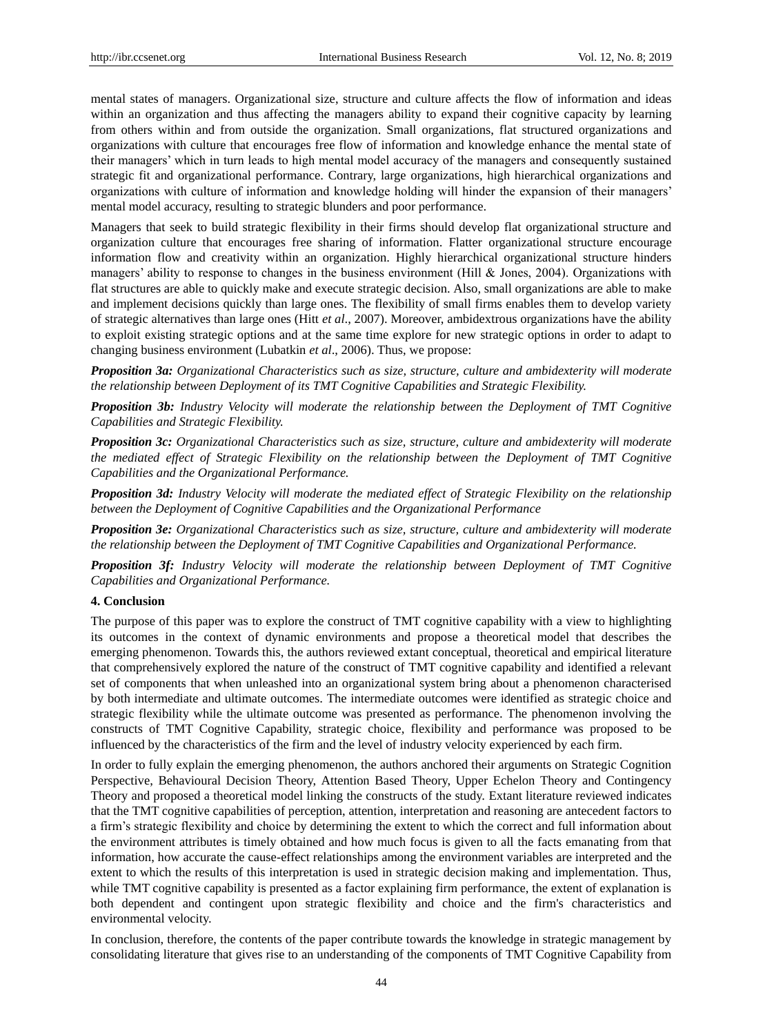mental states of managers. Organizational size, structure and culture affects the flow of information and ideas within an organization and thus affecting the managers ability to expand their cognitive capacity by learning from others within and from outside the organization. Small organizations, flat structured organizations and organizations with culture that encourages free flow of information and knowledge enhance the mental state of their managers' which in turn leads to high mental model accuracy of the managers and consequently sustained strategic fit and organizational performance. Contrary, large organizations, high hierarchical organizations and organizations with culture of information and knowledge holding will hinder the expansion of their managers' mental model accuracy, resulting to strategic blunders and poor performance.

Managers that seek to build strategic flexibility in their firms should develop flat organizational structure and organization culture that encourages free sharing of information. Flatter organizational structure encourage information flow and creativity within an organization. Highly hierarchical organizational structure hinders managers' ability to response to changes in the business environment (Hill & Jones, 2004). Organizations with flat structures are able to quickly make and execute strategic decision. Also, small organizations are able to make and implement decisions quickly than large ones. The flexibility of small firms enables them to develop variety of strategic alternatives than large ones (Hitt *et al*., 2007). Moreover, ambidextrous organizations have the ability to exploit existing strategic options and at the same time explore for new strategic options in order to adapt to changing business environment (Lubatkin *et al*., 2006). Thus, we propose:

*Proposition 3a: Organizational Characteristics such as size, structure, culture and ambidexterity will moderate the relationship between Deployment of its TMT Cognitive Capabilities and Strategic Flexibility.* 

*Proposition 3b: Industry Velocity will moderate the relationship between the Deployment of TMT Cognitive Capabilities and Strategic Flexibility.* 

*Proposition 3c: Organizational Characteristics such as size, structure, culture and ambidexterity will moderate the mediated effect of Strategic Flexibility on the relationship between the Deployment of TMT Cognitive Capabilities and the Organizational Performance.* 

*Proposition 3d: Industry Velocity will moderate the mediated effect of Strategic Flexibility on the relationship between the Deployment of Cognitive Capabilities and the Organizational Performance* 

*Proposition 3e: Organizational Characteristics such as size, structure, culture and ambidexterity will moderate the relationship between the Deployment of TMT Cognitive Capabilities and Organizational Performance.*

*Proposition 3f: Industry Velocity will moderate the relationship between Deployment of TMT Cognitive Capabilities and Organizational Performance.* 

## **4. Conclusion**

The purpose of this paper was to explore the construct of TMT cognitive capability with a view to highlighting its outcomes in the context of dynamic environments and propose a theoretical model that describes the emerging phenomenon. Towards this, the authors reviewed extant conceptual, theoretical and empirical literature that comprehensively explored the nature of the construct of TMT cognitive capability and identified a relevant set of components that when unleashed into an organizational system bring about a phenomenon characterised by both intermediate and ultimate outcomes. The intermediate outcomes were identified as strategic choice and strategic flexibility while the ultimate outcome was presented as performance. The phenomenon involving the constructs of TMT Cognitive Capability, strategic choice, flexibility and performance was proposed to be influenced by the characteristics of the firm and the level of industry velocity experienced by each firm.

In order to fully explain the emerging phenomenon, the authors anchored their arguments on Strategic Cognition Perspective, Behavioural Decision Theory, Attention Based Theory, Upper Echelon Theory and Contingency Theory and proposed a theoretical model linking the constructs of the study. Extant literature reviewed indicates that the TMT cognitive capabilities of perception, attention, interpretation and reasoning are antecedent factors to a firm's strategic flexibility and choice by determining the extent to which the correct and full information about the environment attributes is timely obtained and how much focus is given to all the facts emanating from that information, how accurate the cause-effect relationships among the environment variables are interpreted and the extent to which the results of this interpretation is used in strategic decision making and implementation. Thus, while TMT cognitive capability is presented as a factor explaining firm performance, the extent of explanation is both dependent and contingent upon strategic flexibility and choice and the firm's characteristics and environmental velocity.

In conclusion, therefore, the contents of the paper contribute towards the knowledge in strategic management by consolidating literature that gives rise to an understanding of the components of TMT Cognitive Capability from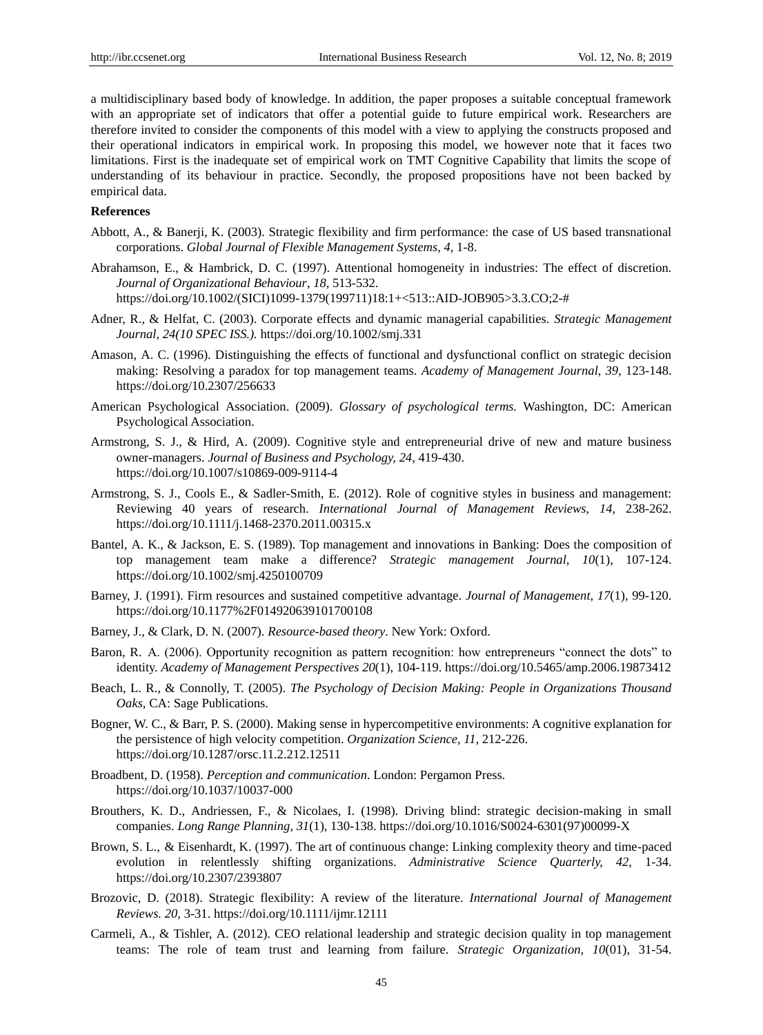a multidisciplinary based body of knowledge. In addition, the paper proposes a suitable conceptual framework with an appropriate set of indicators that offer a potential guide to future empirical work. Researchers are therefore invited to consider the components of this model with a view to applying the constructs proposed and their operational indicators in empirical work. In proposing this model, we however note that it faces two limitations. First is the inadequate set of empirical work on TMT Cognitive Capability that limits the scope of understanding of its behaviour in practice. Secondly, the proposed propositions have not been backed by empirical data.

# **References**

- Abbott, A., & Banerji, K. (2003). Strategic flexibility and firm performance: the case of US based transnational corporations. *Global Journal of Flexible Management Systems, 4,* 1-8.
- Abrahamson, E., & Hambrick, D. C. (1997). Attentional homogeneity in industries: The effect of discretion*. Journal of Organizational Behaviour*, *18,* 513-532. https://doi.org/10.1002/(SICI)1099-1379(199711)18:1+<513::AID-JOB905>3.3.CO;2-#
- Adner, R., & Helfat, C. (2003). Corporate effects and dynamic managerial capabilities. *Strategic Management Journal, 24(10 SPEC ISS.).* <https://doi.org/10.1002/smj.331>
- Amason, A. C. (1996). Distinguishing the effects of functional and dysfunctional conflict on strategic decision making: Resolving a paradox for top management teams. *Academy of Management Journal, 39,* 123-148. <https://doi.org/10.2307/256633>
- American Psychological Association. (2009). *Glossary of psychological terms.* Washington, DC: American Psychological Association.
- Armstrong, S. J., & Hird, A. (2009). Cognitive style and entrepreneurial drive of new and mature business owner-managers. *Journal of Business and Psychology, 24,* 419-430. <https://doi.org/10.1007/s10869-009-9114-4>
- Armstrong, S. J., Cools E., & Sadler-Smith, E. (2012). Role of cognitive styles in business and management: Reviewing 40 years of research. *International Journal of Management Reviews, 14,* 238-262. <https://doi.org/10.1111/j.1468-2370.2011.00315.x>
- Bantel, A. K., & Jackson, E. S. (1989). Top management and innovations in Banking: Does the composition of top management team make a difference? *Strategic management Journal, 10*(1), 107-124. https://doi.org/10.1002/smj.4250100709
- Barney, J. (1991). Firm resources and sustained competitive advantage. *Journal of Management*, *17*(1), 99-120. <https://doi.org/10.1177%2F014920639101700108>
- Barney, J., & Clark, D. N. (2007). *Resource-based theory*. New York: Oxford.
- Baron, R. A. (2006). Opportunity recognition as pattern recognition: how entrepreneurs "connect the dots" to identity. *Academy of Management Perspectives 20*(1), 104-119. https://doi.org/10.5465/amp.2006.19873412
- Beach, L. R., & Connolly, T. (2005). *The Psychology of Decision Making: People in Organizations Thousand Oaks*, CA: Sage Publications.
- Bogner, W. C., & Barr, P. S. (2000). Making sense in hypercompetitive environments: A cognitive explanation for the persistence of high velocity competition. *Organization Science, 11,* 212-226. <https://doi.org/10.1287/orsc.11.2.212.12511>
- Broadbent, D. (1958). *Perception and communication*. London: Pergamon Press. https://doi.org/10.1037/10037-000
- Brouthers, K. D., Andriessen, F., & Nicolaes, I. (1998). Driving blind: strategic decision-making in small companies. *Long Range Planning, 31*(1), 130-138. https://doi.org/10.1016/S0024-6301(97)00099-X
- Brown, S. L., & Eisenhardt, K. (1997). The art of continuous change: Linking complexity theory and time-paced evolution in relentlessly shifting organizations. *Administrative Science Quarterly, 42,* 1-34. https://doi.org/10.2307/2393807
- Brozovic, D. (2018). Strategic flexibility: A review of the literature. *International Journal of Management Reviews. 20,* 3-31.<https://doi.org/10.1111/ijmr.12111>
- Carmeli, A., & Tishler, A. (2012). CEO relational leadership and strategic decision quality in top management teams: The role of team trust and learning from failure. *Strategic Organization, 10*(01), 31-54.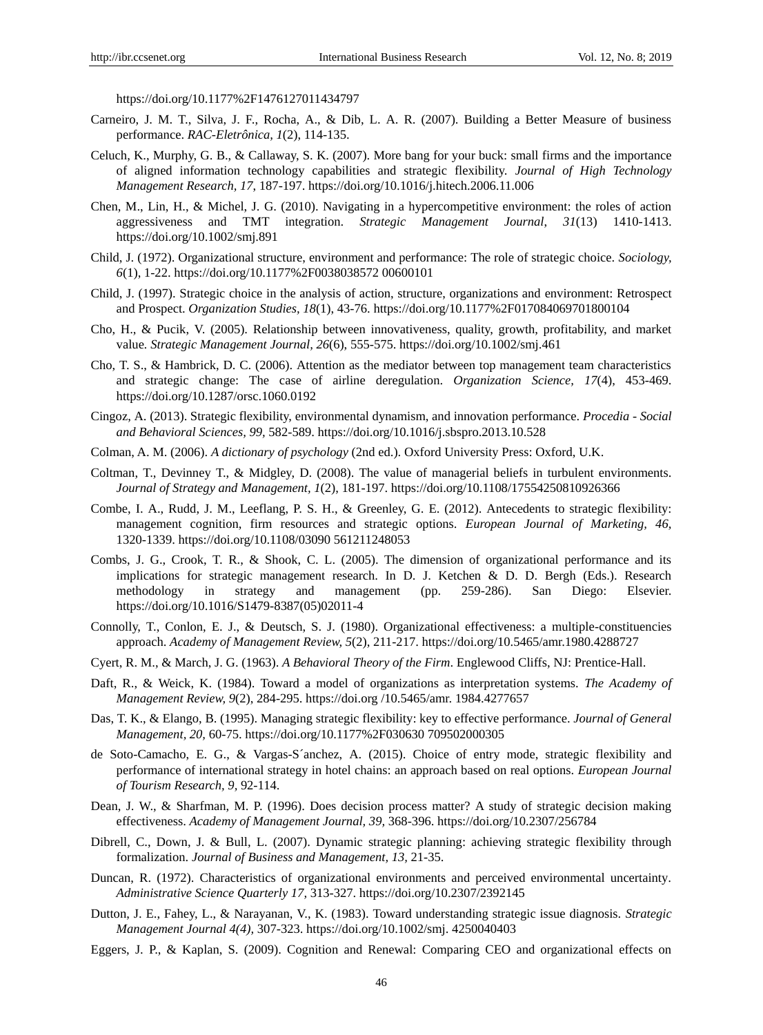<https://doi.org/10.1177%2F1476127011434797>

- Carneiro, J. M. T., Silva, J. F., Rocha, A., & Dib, L. A. R. (2007). Building a Better Measure of business performance. *RAC-Eletrônica, 1*(2), 114-135.
- Celuch, K., Murphy, G. B., & Callaway, S. K. (2007). More bang for your buck: small firms and the importance of aligned information technology capabilities and strategic flexibility. *Journal of High Technology Management Research, 17*, 187-197. https://doi.org/10.1016/j.hitech.2006.11.006
- Chen, M., Lin, H., & Michel, J. G. (2010). Navigating in a hypercompetitive environment: the roles of action aggressiveness and TMT integration. *Strategic Management Journal*, *31*(13) 1410-1413. <https://doi.org/10.1002/smj.891>
- Child, J. (1972). Organizational structure, environment and performance: The role of strategic choice. *Sociology, 6*(1), 1-22. [https://doi.org/10.1177%2F0038038572 00600101](https://doi.org/10.1177%2F0038038572%2000600101)
- Child, J. (1997). Strategic choice in the analysis of action, structure, organizations and environment: Retrospect and Prospect. *Organization Studies, 18*(1), 43-76[. https://doi.org/10.1177%2F017084069701800104](https://doi.org/10.1177%2F017084069701800104)
- Cho, H., & Pucik, V. (2005). Relationship between innovativeness, quality, growth, profitability, and market value*. Strategic Management Journal, 26*(6), 555-575.<https://doi.org/10.1002/smj.461>
- Cho, T. S., & Hambrick, D. C. (2006). Attention as the mediator between top management team characteristics and strategic change: The case of airline deregulation. *Organization Science, 17*(4), 453-469. <https://doi.org/10.1287/orsc.1060.0192>
- Cingoz, A. (2013). Strategic flexibility, environmental dynamism, and innovation performance. *Procedia - Social and Behavioral Sciences, 99,* 582-589.<https://doi.org/10.1016/j.sbspro.2013.10.528>
- Colman, A. M. (2006). *A dictionary of psychology* (2nd ed.). Oxford University Press: Oxford, U.K.
- Coltman, T., Devinney T., & Midgley, D. (2008). The value of managerial beliefs in turbulent environments. *Journal of Strategy and Management, 1*(2), 181-197.<https://doi.org/10.1108/17554250810926366>
- Combe, I. A., Rudd, J. M., Leeflang, P. S. H., & Greenley, G. E. (2012). Antecedents to strategic flexibility: management cognition, firm resources and strategic options. *European Journal of Marketing, 46,* 1320-1339. [https://doi.org/10.1108/03090 561211248053](https://doi.org/10.1108/03090%20561211248053)
- Combs, J. G., Crook, T. R., & Shook, C. L. (2005). The dimension of organizational performance and its implications for strategic management research. In D. J. Ketchen & D. D. Bergh (Eds.). Research methodology in strategy and management (pp. 259-286). San Diego: Elsevier. https://doi.org/10.1016/S1479-8387(05)02011-4
- Connolly, T., Conlon, E. J., & Deutsch, S. J. (1980). Organizational effectiveness: a multiple-constituencies approach. *Academy of Management Review, 5*(2), 211-217. https://doi.org/10.5465/amr.1980.4288727
- Cyert, R. M., & March, J. G. (1963). *A Behavioral Theory of the Firm*. Englewood Cliffs, NJ: Prentice-Hall.
- Daft, R., & Weick, K. (1984). Toward a model of organizations as interpretation systems. *The Academy of Management Review, 9*(2), 284-295. https://doi.org /10.5465/amr. 1984.4277657
- Das, T. K., & Elango, B. (1995). Managing strategic flexibility: key to effective performance. *Journal of General Management, 20,* 60-75. [https://doi.org/10.1177%2F030630 709502000305](https://doi.org/10.1177%2F030630%20709502000305)
- de Soto-Camacho, E. G., & Vargas-S´anchez, A. (2015). Choice of entry mode, strategic flexibility and performance of international strategy in hotel chains: an approach based on real options. *European Journal of Tourism Research, 9,* 92-114.
- Dean, J. W., & Sharfman, M. P. (1996). Does decision process matter? A study of strategic decision making effectiveness. *Academy of Management Journal, 39,* 368-396[. https://doi.org/10.2307/256784](https://doi.org/10.2307/256784)
- Dibrell, C., Down, J. & Bull, L. (2007). Dynamic strategic planning: achieving strategic flexibility through formalization. *Journal of Business and Management, 13,* 21-35.
- Duncan, R. (1972). Characteristics of organizational environments and perceived environmental uncertainty*. Administrative Science Quarterly 17,* 313-327[. https://doi.org/10.2307/2392145](https://doi.org/10.2307/2392145)
- Dutton, J. E., Fahey, L., & Narayanan, V., K. (1983). Toward understanding strategic issue diagnosis. *Strategic Management Journal 4(4),* 307-323. [https://doi.org/10.1002/smj. 4250040403](https://doi.org/10.1002/smj.%204250040403)
- Eggers, J. P., & Kaplan, S. (2009). Cognition and Renewal: Comparing CEO and organizational effects on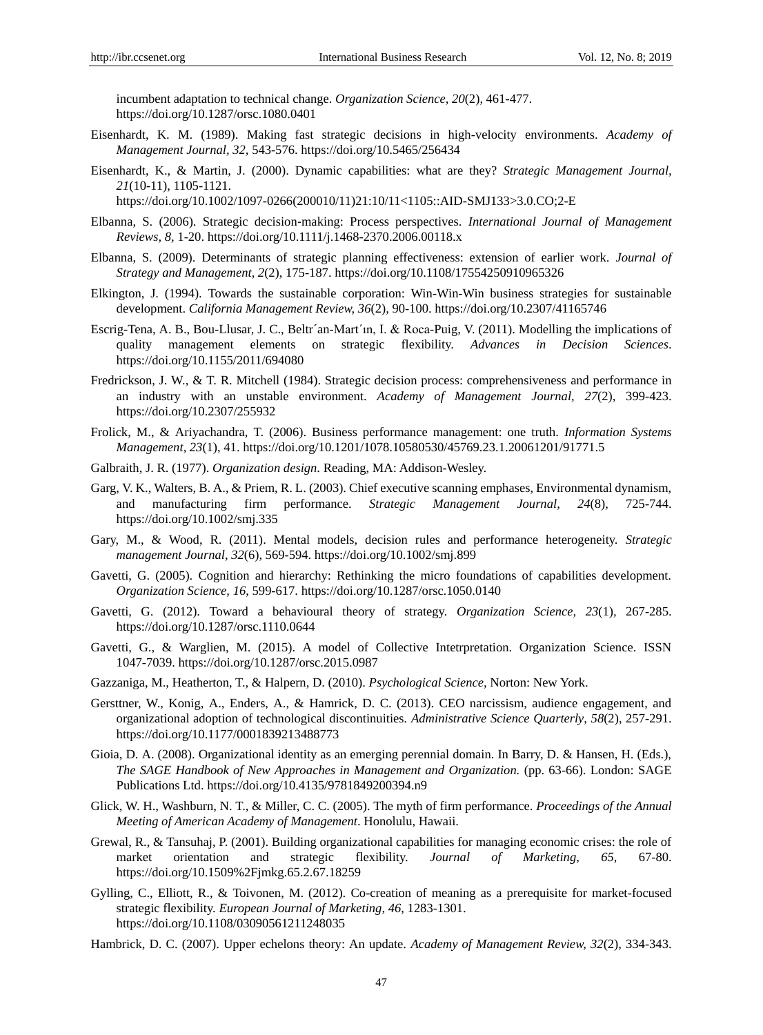incumbent adaptation to technical change. *Organization Science, 20*(2), 461-477. <https://doi.org/10.1287/orsc.1080.0401>

- Eisenhardt, K. M. (1989). Making fast strategic decisions in high-velocity environments. *Academy of Management Journal, 32,* 543-576. https://doi.org/10.5465/256434
- Eisenhardt, K., & Martin, J. (2000). Dynamic capabilities: what are they? *Strategic Management Journal, 21*(10-11), 1105-1121.

https://doi.org/10.1002/1097-0266(200010/11)21:10/11<1105::AID-SMJ133>3.0.CO;2-E

- Elbanna, S. (2006). Strategic decision‐making: Process perspectives. *International Journal of Management Reviews, 8,* 1-20.<https://doi.org/10.1111/j.1468-2370.2006.00118.x>
- Elbanna, S. (2009). Determinants of strategic planning effectiveness: extension of earlier work. *Journal of Strategy and Management, 2*(2), 175-187.<https://doi.org/10.1108/17554250910965326>
- Elkington, J. (1994). Towards the sustainable corporation: Win-Win-Win business strategies for sustainable development. *California Management Review, 36*(2)*,* 90-100. https://doi.org/10.2307/41165746
- Escrig-Tena, A. B., Bou-Llusar, J. C., Beltr án-Mart'ın, I. & Roca-Puig, V. (2011). Modelling the implications of quality management elements on strategic flexibility. *Advances in Decision Sciences*. https://doi.org/10.1155/2011/694080
- Fredrickson, J. W., & T. R. Mitchell (1984). Strategic decision process: comprehensiveness and performance in an industry with an unstable environment. *Academy of Management Journal, 27*(2)*,* 399-423. https://doi.org/10.2307/255932
- Frolick, M., & Ariyachandra, T. (2006). Business performance management: one truth. *Information Systems Management, 23*(1), 41.<https://doi.org/10.1201/1078.10580530/45769.23.1.20061201/91771.5>
- Galbraith, J. R. (1977). *Organization design*. Reading, MA: Addison-Wesley.
- Garg, V. K., Walters, B. A., & Priem, R. L. (2003). Chief executive scanning emphases, Environmental dynamism, and manufacturing firm performance. *Strategic Management Journal, 24*(8)*,* 725-744. https://doi.org/10.1002/smj.335
- Gary, M., & Wood, R. (2011). Mental models, decision rules and performance heterogeneity. *Strategic management Journal*, *32*(6), 569-594. <https://doi.org/10.1002/smj.899>
- Gavetti, G. (2005). Cognition and hierarchy: Rethinking the micro foundations of capabilities development. *Organization Science, 16*, 599-617. <https://doi.org/10.1287/orsc.1050.0140>
- Gavetti, G. (2012). Toward a behavioural theory of strategy. *Organization Science, 23*(1)*,* 267-285. <https://doi.org/10.1287/orsc.1110.0644>
- Gavetti, G., & Warglien, M. (2015). A model of Collective Intetrpretation. Organization Science. ISSN 1047-7039.<https://doi.org/10.1287/orsc.2015.0987>
- Gazzaniga, M., Heatherton, T., & Halpern, D. (2010). *Psychological Science,* Norton: New York.
- Gersttner, W., Konig, A., Enders, A., & Hamrick, D. C. (2013). CEO narcissism, audience engagement, and organizational adoption of technological discontinuities*. Administrative Science Quarterly*, *58*(2), 257-291. <https://doi.org/10.1177/0001839213488773>
- Gioia, D. A. (2008). Organizational identity as an emerging perennial domain. In Barry, D. & Hansen, H. (Eds.), *The SAGE Handbook of New Approaches in Management and Organization.* (pp. 63-66). London: SAGE Publications Ltd. https://doi.org/10.4135/9781849200394.n9
- Glick, W. H., Washburn, N. T., & Miller, C. C. (2005). The myth of firm performance. *Proceedings of the Annual Meeting of American Academy of Management*. Honolulu, Hawaii.
- Grewal, R., & Tansuhaj, P. (2001). Building organizational capabilities for managing economic crises: the role of market orientation and strategic flexibility. *Journal of Marketing, 65,* 67-80. <https://doi.org/10.1509%2Fjmkg.65.2.67.18259>
- Gylling, C., Elliott, R., & Toivonen, M. (2012). Co-creation of meaning as a prerequisite for market-focused strategic flexibility. *European Journal of Marketing, 46,* 1283-1301. <https://doi.org/10.1108/03090561211248035>
- Hambrick, D. C. (2007). Upper echelons theory: An update. *Academy of Management Review, 32*(2), 334-343.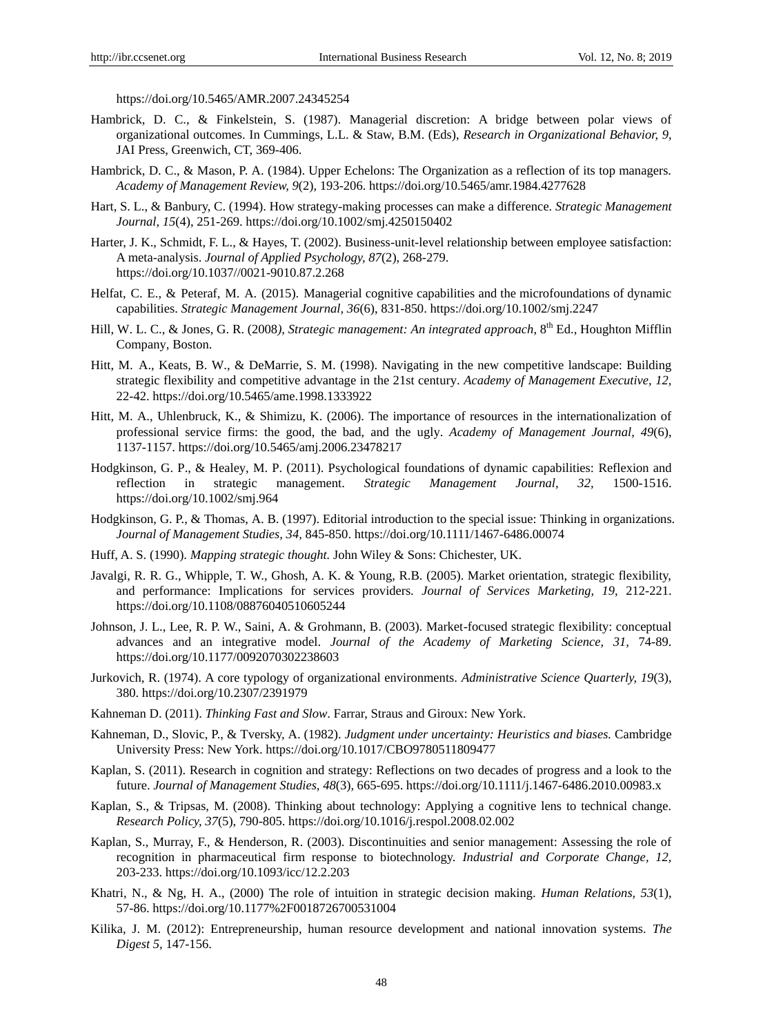<https://doi.org/10.5465/AMR.2007.24345254>

- Hambrick, D. C., & Finkelstein, S. (1987). Managerial discretion: A bridge between polar views of organizational outcomes. In Cummings, L.L. & Staw, B.M. (Eds), *Research in Organizational Behavior, 9,*  JAI Press, Greenwich, CT, 369-406.
- Hambrick, D. C., & Mason, P. A. (1984). Upper Echelons: The Organization as a reflection of its top managers. *Academy of Management Review, 9*(2), 193-206. https://doi.org/10.5465/amr.1984.4277628
- Hart, S. L., & Banbury, C. (1994). How strategy-making processes can make a difference. *Strategic Management Journal, 15*(4), 251-269. https://doi.org/10.1002/smj.4250150402
- Harter, J. K., Schmidt, F. L., & Hayes, T. (2002). Business-unit-level relationship between employee satisfaction: A meta-analysis. *Journal of Applied Psychology, 87*(2), 268-279. [https://doi.org/10.1037//0021-9010.87.2.268](https://doi.org/10.1037/0021-9010.87.2.268)
- Helfat, C. E., & Peteraf, M. A. (2015). Managerial cognitive capabilities and the microfoundations of dynamic capabilities. *Strategic Management Journal, 36*(6), 831-850. <https://doi.org/10.1002/smj.2247>
- Hill, W. L. C., & Jones, G. R. (2008), Strategic management: An integrated approach, 8<sup>th</sup> Ed., Houghton Mifflin Company, Boston.
- Hitt, M. A., Keats, B. W., & DeMarrie, S. M. (1998). Navigating in the new competitive landscape: Building strategic flexibility and competitive advantage in the 21st century. *Academy of Management Executive, 12,* 22-42. https://doi.org/10.5465/ame.1998.1333922
- Hitt, M. A., Uhlenbruck, K., & Shimizu, K. (2006). The importance of resources in the internationalization of professional service firms: the good, the bad, and the ugly. *Academy of Management Journal, 49*(6), 1137-1157.<https://doi.org/10.5465/amj.2006.23478217>
- Hodgkinson, G. P., & Healey, M. P. (2011). Psychological foundations of dynamic capabilities: Reflexion and reflection in strategic management. *Strategic Management Journal, 32,* 1500-1516. <https://doi.org/10.1002/smj.964>
- Hodgkinson, G. P., & Thomas, A. B. (1997). Editorial introduction to the special issue: Thinking in organizations. *Journal of Management Studies, 34,* 845-850[. https://doi.org/10.1111/1467-6486.00074](https://doi.org/10.1111/1467-6486.00074)
- Huff, A. S. (1990). *Mapping strategic thought.* John Wiley & Sons: Chichester, UK.
- Javalgi, R. R. G., Whipple, T. W., Ghosh, A. K. & Young, R.B. (2005). Market orientation, strategic flexibility, and performance: Implications for services providers. *Journal of Services Marketing, 19,* 212-221. <https://doi.org/10.1108/08876040510605244>
- Johnson, J. L., Lee, R. P. W., Saini, A. & Grohmann, B. (2003). Market-focused strategic flexibility: conceptual advances and an integrative model. *Journal of the Academy of Marketing Science, 31,* 74-89. https://doi.org/10.1177/0092070302238603
- Jurkovich, R. (1974). A core typology of organizational environments. *Administrative Science Quarterly, 19*(3), 380. https://doi.org/10.2307/2391979
- Kahneman D. (2011). *Thinking Fast and Slow*. Farrar, Straus and Giroux: New York.
- Kahneman, D., Slovic, P., & Tversky, A. (1982). *Judgment under uncertainty: Heuristics and biases.* Cambridge University Press: New York. https://doi.org/10.1017/CBO9780511809477
- Kaplan, S. (2011). Research in cognition and strategy: Reflections on two decades of progress and a look to the future. *Journal of Management Studies, 48*(3), 665-695.<https://doi.org/10.1111/j.1467-6486.2010.00983.x>
- Kaplan, S., & Tripsas, M. (2008). Thinking about technology: Applying a cognitive lens to technical change. *Research Policy, 37*(5), 790-805.<https://doi.org/10.1016/j.respol.2008.02.002>
- Kaplan, S., Murray, F., & Henderson, R. (2003). Discontinuities and senior management: Assessing the role of recognition in pharmaceutical firm response to biotechnology. *Industrial and Corporate Change, 12,* 203-233.<https://doi.org/10.1093/icc/12.2.203>
- Khatri, N., & Ng, H. A., (2000) The role of intuition in strategic decision making. *Human Relations, 53*(1), 57-86.<https://doi.org/10.1177%2F0018726700531004>
- Kilika, J. M. (2012): Entrepreneurship, human resource development and national innovation systems. *The Digest 5,* 147-156.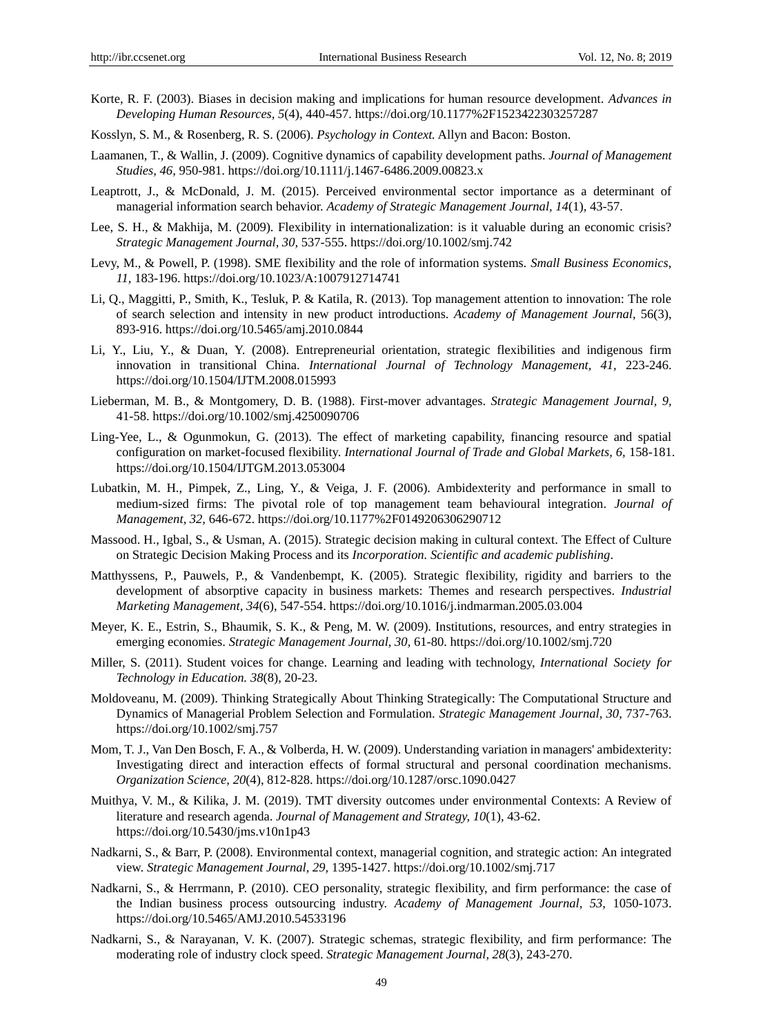- Korte, R. F. (2003). Biases in decision making and implications for human resource development. *Advances in Developing Human Resources, 5*(4), 440-457.<https://doi.org/10.1177%2F1523422303257287>
- Kosslyn, S. M., & Rosenberg, R. S. (2006). *Psychology in Context.* Allyn and Bacon: Boston.
- Laamanen, T., & Wallin, J. (2009). Cognitive dynamics of capability development paths. *Journal of Management Studies, 46,* 950-981.<https://doi.org/10.1111/j.1467-6486.2009.00823.x>
- Leaptrott, J., & McDonald, J. M. (2015). Perceived environmental sector importance as a determinant of managerial information search behavior. *Academy of Strategic Management Journal, 14*(1)*,* 43-57.
- Lee, S. H., & Makhija, M. (2009). Flexibility in internationalization: is it valuable during an economic crisis? *Strategic Management Journal, 30,* 537-555[. https://doi.org/10.1002/smj.742](https://doi.org/10.1002/smj.742)
- Levy, M., & Powell, P. (1998). SME flexibility and the role of information systems. *Small Business Economics, 11,* 183-196. https://doi.org/10.1023/A:1007912714741
- Li, Q., Maggitti, P., Smith, K., Tesluk, P. & Katila, R. (2013). Top management attention to innovation: The role of search selection and intensity in new product introductions. *Academy of Management Journal*, 56(3), 893-916.<https://doi.org/10.5465/amj.2010.0844>
- Li, Y., Liu, Y., & Duan, Y. (2008). Entrepreneurial orientation, strategic flexibilities and indigenous firm innovation in transitional China. *International Journal of Technology Management, 41,* 223-246. <https://doi.org/10.1504/IJTM.2008.015993>
- Lieberman, M. B., & Montgomery, D. B. (1988). First-mover advantages. *Strategic Management Journal, 9,*  41-58.<https://doi.org/10.1002/smj.4250090706>
- Ling-Yee, L., & Ogunmokun, G. (2013). The effect of marketing capability, financing resource and spatial configuration on market-focused flexibility. *International Journal of Trade and Global Markets, 6,* 158-181. https://doi.org/10.1504/IJTGM.2013.053004
- Lubatkin, M. H., Pimpek, Z., Ling, Y., & Veiga, J. F. (2006). Ambidexterity and performance in small to medium-sized firms: The pivotal role of top management team behavioural integration. *Journal of Management, 32,* 646-672.<https://doi.org/10.1177%2F0149206306290712>
- Massood. H., Igbal, S., & Usman, A. (2015). Strategic decision making in cultural context. The Effect of Culture on Strategic Decision Making Process and its *Incorporation. Scientific and academic publishing*.
- Matthyssens, P., Pauwels, P., & Vandenbempt, K. (2005). Strategic flexibility, rigidity and barriers to the development of absorptive capacity in business markets: Themes and research perspectives. *Industrial Marketing Management, 34*(6), 547-554. https://doi.org/10.1016/j.indmarman.2005.03.004
- Meyer, K. E., Estrin, S., Bhaumik, S. K., & Peng, M. W. (2009). Institutions, resources, and entry strategies in emerging economies. *Strategic Management Journal, 30,* 61-80[. https://doi.org/10.1002/smj.720](https://doi.org/10.1002/smj.720)
- Miller, S. (2011). Student voices for change. Learning and leading with technology, *International Society for Technology in Education. 38*(8), 20-23.
- Moldoveanu, M. (2009). Thinking Strategically About Thinking Strategically: The Computational Structure and Dynamics of Managerial Problem Selection and Formulation. *Strategic Management Journal, 30,* 737-763. https://doi.org/10.1002/smj.757
- Mom, T. J., Van Den Bosch, F. A., & Volberda, H. W. (2009). Understanding variation in managers' ambidexterity: Investigating direct and interaction effects of formal structural and personal coordination mechanisms. *Organization Science, 20*(4), 812-828.<https://doi.org/10.1287/orsc.1090.0427>
- Muithya, V. M., & Kilika, J. M. (2019). TMT diversity outcomes under environmental Contexts: A Review of literature and research agenda. *Journal of Management and Strategy, 10*(1), 43-62. <https://doi.org/10.5430/jms.v10n1p43>
- Nadkarni, S., & Barr, P. (2008). Environmental context, managerial cognition, and strategic action: An integrated view. *Strategic Management Journal*, *29,* 1395-1427.<https://doi.org/10.1002/smj.717>
- Nadkarni, S., & Herrmann, P. (2010). CEO personality, strategic flexibility, and firm performance: the case of the Indian business process outsourcing industry. *Academy of Management Journal, 53,* 1050-1073. <https://doi.org/10.5465/AMJ.2010.54533196>
- Nadkarni, S., & Narayanan, V. K. (2007). Strategic schemas, strategic flexibility, and firm performance: The moderating role of industry clock speed. *Strategic Management Journal, 28*(3), 243-270.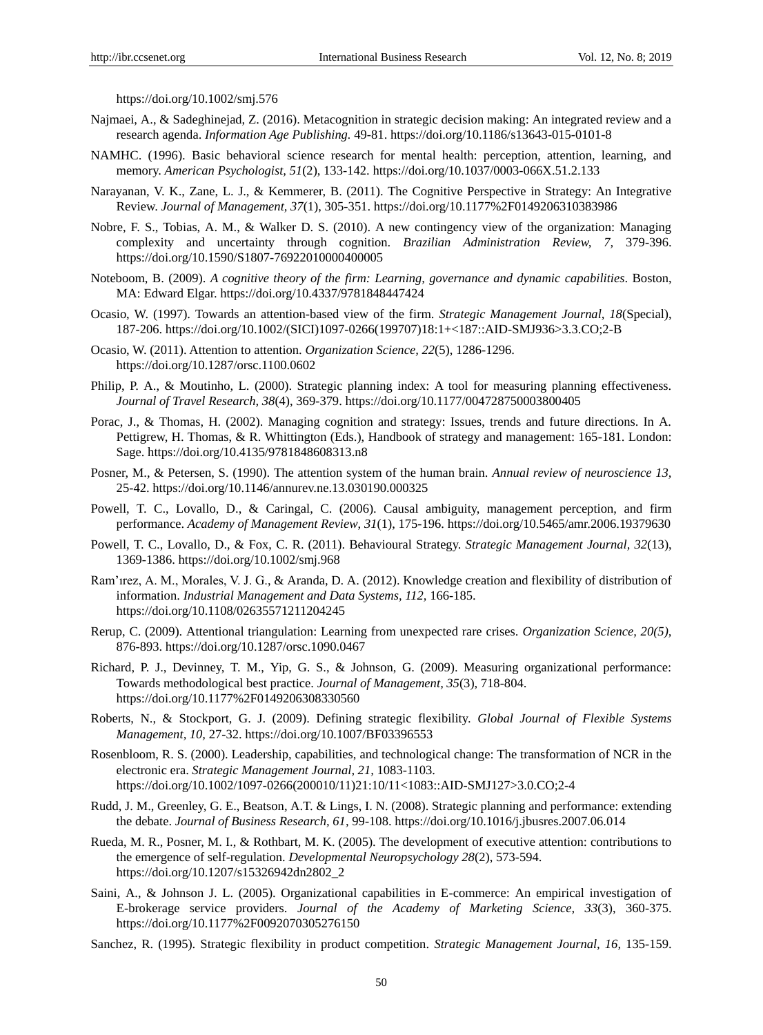<https://doi.org/10.1002/smj.576>

- Najmaei, A., & Sadeghinejad, Z. (2016). Metacognition in strategic decision making: An integrated review and a research agenda. *Information Age Publishing.* 49-81.<https://doi.org/10.1186/s13643-015-0101-8>
- NAMHC. (1996). Basic behavioral science research for mental health: perception, attention, learning, and memory. *American Psychologist, 51*(2), 133-142. https://doi.org/10.1037/0003-066X.51.2.133
- Narayanan, V. K., Zane, L. J., & Kemmerer, B. (2011). The Cognitive Perspective in Strategy: An Integrative Review. *Journal of Management, 37*(1), 305-351.<https://doi.org/10.1177%2F0149206310383986>
- Nobre, F. S., Tobias, A. M., & Walker D. S. (2010). A new contingency view of the organization: Managing complexity and uncertainty through cognition. *Brazilian Administration Review, 7,* 379-396. https://doi.org/10.1590/S1807-76922010000400005
- Noteboom, B. (2009). *A cognitive theory of the firm: Learning, governance and dynamic capabilities*. Boston, MA: Edward Elgar. https://doi.org/10.4337/9781848447424
- Ocasio, W. (1997). Towards an attention-based view of the firm. *Strategic Management Journal, 18*(Special), 187-206. https://doi.org/10.1002/(SICI)1097-0266(199707)18:1+<187::AID-SMJ936>3.3.CO;2-B
- Ocasio, W. (2011). Attention to attention. *Organization Science, 22*(5), 1286-1296. <https://doi.org/10.1287/orsc.1100.0602>
- Philip, P. A., & Moutinho, L. (2000). Strategic planning index: A tool for measuring planning effectiveness. *Journal of Travel Research, 38*(4), 369-379. https://doi.org/10.1177/004728750003800405
- Porac, J., & Thomas, H. (2002). Managing cognition and strategy: Issues, trends and future directions. In A. Pettigrew, H. Thomas, & R. Whittington (Eds.), Handbook of strategy and management: 165-181. London: Sage. https://doi.org/10.4135/9781848608313.n8
- Posner, M., & Petersen, S. (1990). The attention system of the human brain. *Annual review of neuroscience 13,* 25-42. https://doi.org/10.1146/annurev.ne.13.030190.000325
- Powell, T. C., Lovallo, D., & Caringal, C. (2006). Causal ambiguity, management perception, and firm performance. *Academy of Management Review*, *31*(1), 175-196.<https://doi.org/10.5465/amr.2006.19379630>
- Powell, T. C., Lovallo, D., & Fox, C. R. (2011). Behavioural Strategy. *Strategic Management Journal, 32*(13), 1369-1386. https://doi.org/10.1002/smj.968
- Ram'ırez, A. M., Morales, V. J. G., & Aranda, D. A. (2012). Knowledge creation and flexibility of distribution of information. *Industrial Management and Data Systems, 112,* 166-185. https://doi.org/10.1108/02635571211204245
- Rerup, C. (2009). Attentional triangulation: Learning from unexpected rare crises. *Organization Science, 20(5),* 876-893.<https://doi.org/10.1287/orsc.1090.0467>
- Richard, P. J., Devinney, T. M., Yip, G. S., & Johnson, G. (2009). Measuring organizational performance: Towards methodological best practice. *Journal of Management, 35*(3), 718-804. <https://doi.org/10.1177%2F0149206308330560>
- Roberts, N., & Stockport, G. J. (2009). Defining strategic flexibility. *Global Journal of Flexible Systems Management, 10,* 27-32. https://doi.org/10.1007/BF03396553
- Rosenbloom, R. S. (2000). Leadership, capabilities, and technological change: The transformation of NCR in the electronic era. *Strategic Management Journal, 21,* 1083-1103. https://doi.org/10.1002/1097-0266(200010/11)21:10/11<1083::AID-SMJ127>3.0.CO;2-4
- Rudd, J. M., Greenley, G. E., Beatson, A.T. & Lings, I. N. (2008). Strategic planning and performance: extending the debate. *Journal of Business Research, 61,* 99-108. https://doi.org/10.1016/j.jbusres.2007.06.014
- Rueda, M. R., Posner, M. I., & Rothbart, M. K. (2005). The development of executive attention: contributions to the emergence of self-regulation. *Developmental Neuropsychology 28*(2), 573-594. [https://doi.org/10.1207/s15326942dn2802\\_2](https://doi.org/10.1207/s15326942dn2802_2)
- Saini, A., & Johnson J. L. (2005). Organizational capabilities in E-commerce: An empirical investigation of E-brokerage service providers. *Journal of the Academy of Marketing Science, 33*(3), 360-375. <https://doi.org/10.1177%2F0092070305276150>
- Sanchez, R. (1995). Strategic flexibility in product competition. *Strategic Management Journal, 16,* 135-159.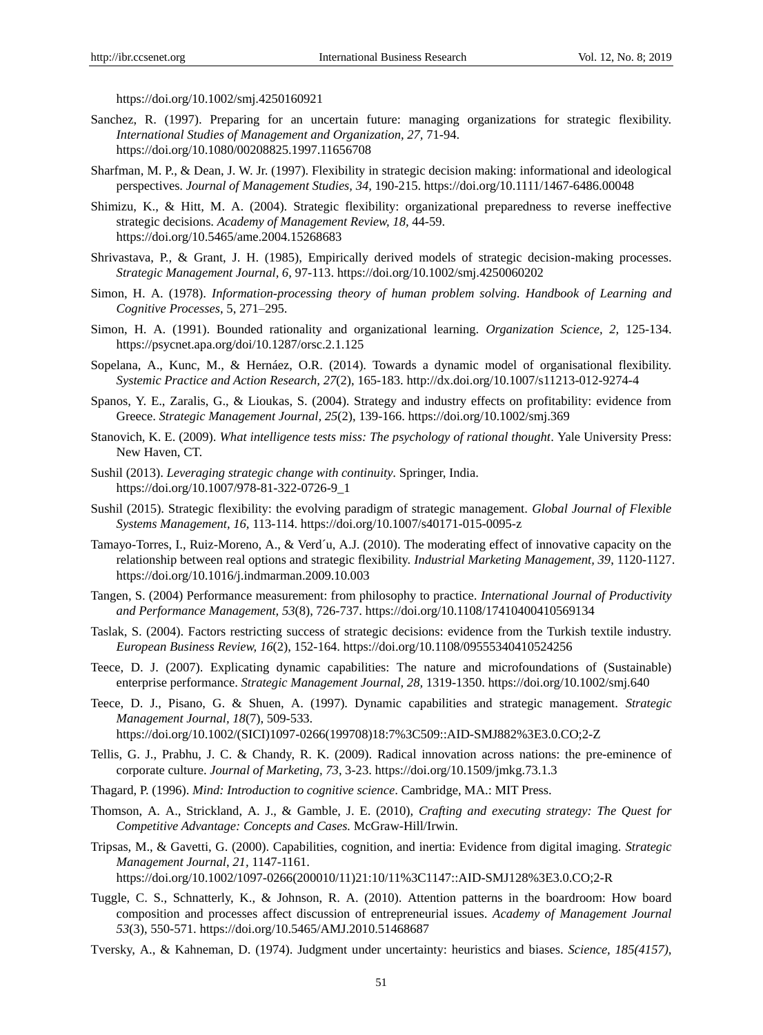<https://doi.org/10.1002/smj.4250160921>

- Sanchez, R. (1997). Preparing for an uncertain future: managing organizations for strategic flexibility. *International Studies of Management and Organization, 27,* 71-94. <https://doi.org/10.1080/00208825.1997.11656708>
- Sharfman, M. P., & Dean, J. W. Jr. (1997). Flexibility in strategic decision making: informational and ideological perspectives. *Journal of Management Studies, 34,* 190-215.<https://doi.org/10.1111/1467-6486.00048>
- Shimizu, K., & Hitt, M. A. (2004). Strategic flexibility: organizational preparedness to reverse ineffective strategic decisions. *Academy of Management Review, 18,* 44-59. https://doi.org/10.5465/ame.2004.15268683
- Shrivastava, P., & Grant, J. H. (1985), Empirically derived models of strategic decision-making processes. *Strategic Management Journal, 6,* 97-113. https://doi.org/10.1002/smj.4250060202
- Simon, H. A. (1978). *Information-processing theory of human problem solving. Handbook of Learning and Cognitive Processes*, 5, 271–295.
- Simon, H. A. (1991). Bounded rationality and organizational learning. *Organization Science, 2,* 125-134. <https://psycnet.apa.org/doi/10.1287/orsc.2.1.125>
- Sopelana, A., Kunc, M., & Hernáez, O.R. (2014). Towards a dynamic model of organisational flexibility. *Systemic Practice and Action Research, 27*(2), 165-183[. http://dx.doi.org/10.1007/s11213-012-9274-4](http://dx.doi.org/10.1007/s11213-012-9274-4)
- Spanos, Y. E., Zaralis, G., & Lioukas, S. (2004). Strategy and industry effects on profitability: evidence from Greece. *Strategic Management Journal, 25*(2), 139-166[. https://doi.org/10.1002/smj.369](https://doi.org/10.1002/smj.369)
- Stanovich, K. E. (2009). *What intelligence tests miss: The psychology of rational thought*. Yale University Press: New Haven, CT.
- Sushil (2013). *Leveraging strategic change with continuity*. Springer, India. https://doi.org/10.1007/978-81-322-0726-9\_1
- Sushil (2015). Strategic flexibility: the evolving paradigm of strategic management. *Global Journal of Flexible Systems Management, 16,* 113-114.<https://doi.org/10.1007/s40171-015-0095-z>
- Tamayo-Torres, I., Ruiz-Moreno, A., & Verd´u, A.J. (2010). The moderating effect of innovative capacity on the relationship between real options and strategic flexibility. *Industrial Marketing Management, 39*, 1120-1127. https://doi.org/10.1016/j.indmarman.2009.10.003
- Tangen, S. (2004) Performance measurement: from philosophy to practice. *International Journal of Productivity and Performance Management, 53*(8), 726-737.<https://doi.org/10.1108/17410400410569134>
- Taslak, S. (2004). Factors restricting success of strategic decisions: evidence from the Turkish textile industry. *European Business Review, 16*(2), 152-164.<https://doi.org/10.1108/09555340410524256>
- Teece, D. J. (2007). Explicating dynamic capabilities: The nature and microfoundations of (Sustainable) enterprise performance. *Strategic Management Journal, 28,* 1319-1350.<https://doi.org/10.1002/smj.640>
- Teece, D. J., Pisano, G. & Shuen, A. (1997). Dynamic capabilities and strategic management. *Strategic Management Journal, 18*(7), 509-533.
	- [https://doi.org/10.1002/\(SICI\)1097-0266\(199708\)18:7%3C509::AID-SMJ882%3E3.0.CO;2-Z](https://doi.org/10.1002/(SICI)1097-0266(199708)18:7%3C509::AID-SMJ882%3E3.0.CO;2-Z)
- Tellis, G. J., Prabhu, J. C. & Chandy, R. K. (2009). Radical innovation across nations: the pre-eminence of corporate culture. *Journal of Marketing, 73*, 3-23. https://doi.org/10.1509/jmkg.73.1.3
- Thagard, P. (1996). *Mind: Introduction to cognitive science*. Cambridge, MA.: MIT Press.
- Thomson, A. A., Strickland, A. J., & Gamble, J. E. (2010), *Crafting and executing strategy: The Quest for Competitive Advantage: Concepts and Cases.* McGraw-Hill/Irwin.
- Tripsas, M., & Gavetti, G. (2000). Capabilities, cognition, and inertia: Evidence from digital imaging. *Strategic Management Journal*, *21,* 1147-1161. [https://doi.org/10.1002/1097-0266\(200010/11\)21:10/11%3C1147::AID-SMJ128%3E3.0.CO;2-R](https://doi.org/10.1002/1097-0266(200010/11)21:10/11%3C1147::AID-SMJ128%3E3.0.CO;2-R)
- Tuggle, C. S., Schnatterly, K., & Johnson, R. A. (2010). Attention patterns in the boardroom: How board composition and processes affect discussion of entrepreneurial issues. *Academy of Management Journal 53*(3), 550-571.<https://doi.org/10.5465/AMJ.2010.51468687>
- Tversky, A., & Kahneman, D. (1974). Judgment under uncertainty: heuristics and biases. *Science, 185(4157),*